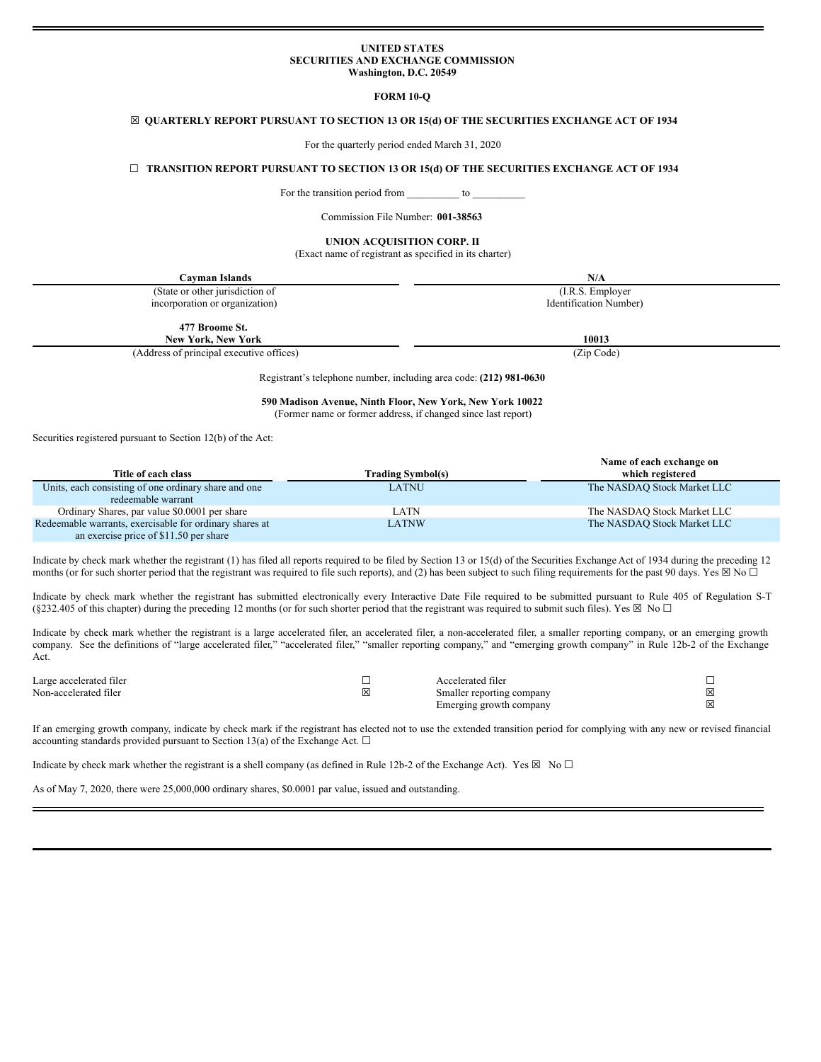#### **UNITED STATES SECURITIES AND EXCHANGE COMMISSION Washington, D.C. 20549**

#### **FORM 10-Q**

### ☒ **QUARTERLY REPORT PURSUANT TO SECTION 13 OR 15(d) OF THE SECURITIES EXCHANGE ACT OF 1934**

For the quarterly period ended March 31, 2020

### ☐ **TRANSITION REPORT PURSUANT TO SECTION 13 OR 15(d) OF THE SECURITIES EXCHANGE ACT OF 1934**

For the transition period from \_\_\_\_\_\_\_\_\_\_\_ to \_

Commission File Number: **001-38563**

#### **UNION ACQUISITION CORP. II**

(Exact name of registrant as specified in its charter)

| Cayman Islands                           | N/A                    |
|------------------------------------------|------------------------|
| (State or other jurisdiction of          | (I.R.S. Employer)      |
| incorporation or organization)           | Identification Number) |
| 477 Broome St.<br>New York, New York     | 10013                  |
| (Address of principal executive offices) | (Zip Code)             |

Registrant's telephone number, including area code: **(212) 981-0630**

**590 Madison Avenue, Ninth Floor, New York, New York 10022** (Former name or former address, if changed since last report)

Securities registered pursuant to Section 12(b) of the Act:

|                                                                                                   |                   | Name of each exchange on    |
|---------------------------------------------------------------------------------------------------|-------------------|-----------------------------|
| Title of each class                                                                               | Trading Symbol(s) | which registered            |
| Units, each consisting of one ordinary share and one<br>redeemable warrant                        | LATNU             | The NASDAQ Stock Market LLC |
| Ordinary Shares, par value \$0.0001 per share                                                     | LATN              | The NASDAQ Stock Market LLC |
| Redeemable warrants, exercisable for ordinary shares at<br>an exercise price of \$11.50 per share | <b>LATNW</b>      | The NASDAQ Stock Market LLC |

Indicate by check mark whether the registrant (1) has filed all reports required to be filed by Section 13 or 15(d) of the Securities Exchange Act of 1934 during the preceding 12 months (or for such shorter period that the registrant was required to file such reports), and (2) has been subject to such filing requirements for the past 90 days. Yes  $\boxtimes$  No  $\Box$ 

Indicate by check mark whether the registrant has submitted electronically every Interactive Date File required to be submitted pursuant to Rule 405 of Regulation S-T (§232.405 of this chapter) during the preceding 12 months (or for such shorter period that the registrant was required to submit such files). Yes  $\boxtimes$  No  $\Box$ 

Indicate by check mark whether the registrant is a large accelerated filer, an accelerated filer, a non-accelerated filer, a smaller reporting company, or an emerging growth company. See the definitions of "large accelerated filer," "accelerated filer," "smaller reporting company," and "emerging growth company" in Rule 12b-2 of the Exchange Act.

| Large accelerated filer | Accelerated filer         |  |
|-------------------------|---------------------------|--|
| Non-accelerated filer   | Smaller reporting company |  |
|                         | Emerging growth company   |  |

If an emerging growth company, indicate by check mark if the registrant has elected not to use the extended transition period for complying with any new or revised financial accounting standards provided pursuant to Section 13(a) of the Exchange Act.  $\square$ 

Indicate by check mark whether the registrant is a shell company (as defined in Rule 12b-2 of the Exchange Act). Yes  $\boxtimes$  No  $\Box$ 

As of May 7, 2020, there were 25,000,000 ordinary shares, \$0.0001 par value, issued and outstanding.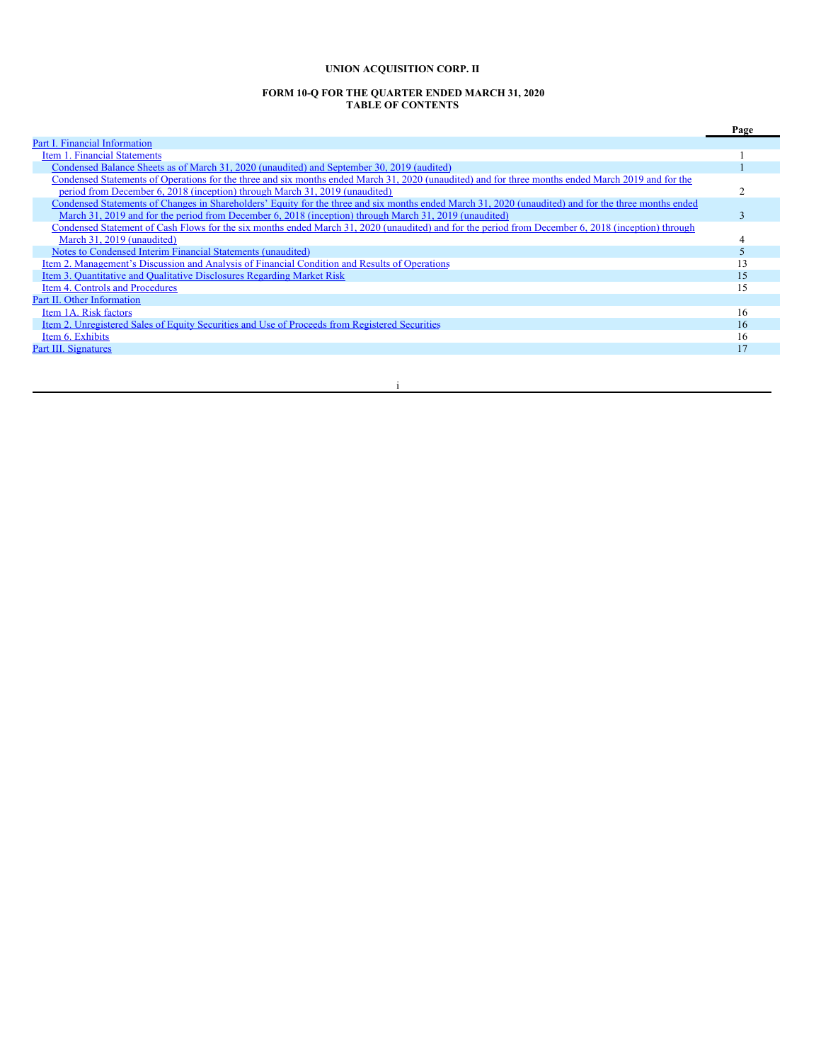# **UNION ACQUISITION CORP. II**

#### **FORM 10-Q FOR THE QUARTER ENDED MARCH 31, 2020 TABLE OF CONTENTS**

|                                                                                                                                                      | Page |
|------------------------------------------------------------------------------------------------------------------------------------------------------|------|
| Part I. Financial Information                                                                                                                        |      |
| Item 1. Financial Statements                                                                                                                         |      |
| Condensed Balance Sheets as of March 31, 2020 (unaudited) and September 30, 2019 (audited)                                                           |      |
| Condensed Statements of Operations for the three and six months ended March 31, 2020 (unaudited) and for three months ended March 2019 and for the   |      |
| period from December 6, 2018 (inception) through March 31, 2019 (unaudited)                                                                          |      |
| Condensed Statements of Changes in Shareholders' Equity for the three and six months ended March 31, 2020 (unaudited) and for the three months ended |      |
| March 31, 2019 and for the period from December 6, 2018 (inception) through March 31, 2019 (unaudited)                                               |      |
| Condensed Statement of Cash Flows for the six months ended March 31, 2020 (unaudited) and for the period from December 6, 2018 (inception) through   |      |
| March 31, 2019 (unaudited)                                                                                                                           |      |
| Notes to Condensed Interim Financial Statements (unaudited)                                                                                          |      |
| Item 2. Management's Discussion and Analysis of Financial Condition and Results of Operations                                                        |      |
| Item 3. Quantitative and Qualitative Disclosures Regarding Market Risk                                                                               | 15   |
| Item 4. Controls and Procedures                                                                                                                      | 15   |
| Part II. Other Information                                                                                                                           |      |
| Item 1A. Risk factors                                                                                                                                | 16   |
| Item 2. Unregistered Sales of Equity Securities and Use of Proceeds from Registered Securities                                                       | 16   |
| Item 6. Exhibits                                                                                                                                     | 16   |
| Part III. Signatures                                                                                                                                 |      |
|                                                                                                                                                      |      |

### i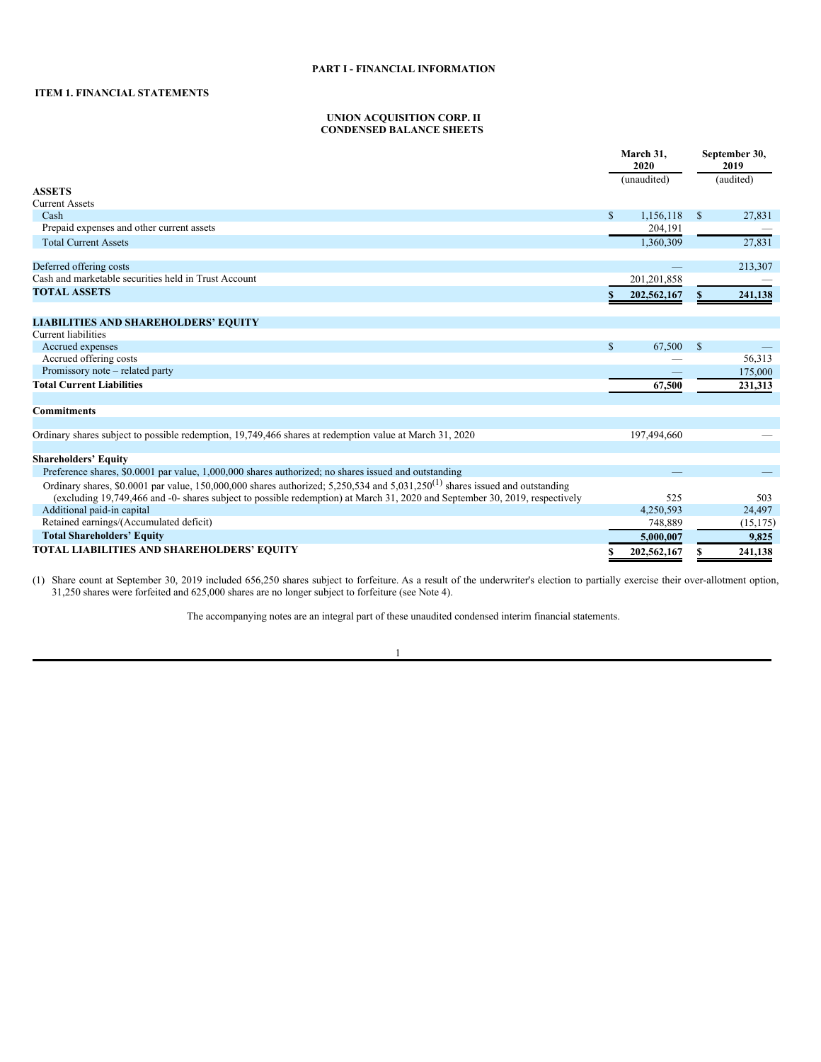# <span id="page-2-1"></span>**ITEM 1. FINANCIAL STATEMENTS**

### <span id="page-2-2"></span><span id="page-2-0"></span>**UNION ACQUISITION CORP. II CONDENSED BALANCE SHEETS**

|                                                                                                                                          |              | March 31,<br>2020 |               | September 30,<br>2019 |
|------------------------------------------------------------------------------------------------------------------------------------------|--------------|-------------------|---------------|-----------------------|
|                                                                                                                                          |              | (unaudited)       |               | (audited)             |
| <b>ASSETS</b>                                                                                                                            |              |                   |               |                       |
| <b>Current Assets</b>                                                                                                                    |              |                   |               |                       |
| Cash                                                                                                                                     | $\mathbb{S}$ | 1,156,118         | <sup>\$</sup> | 27,831                |
| Prepaid expenses and other current assets                                                                                                |              | 204,191           |               |                       |
| <b>Total Current Assets</b>                                                                                                              |              | 1.360.309         |               | 27,831                |
| Deferred offering costs                                                                                                                  |              |                   |               | 213,307               |
| Cash and marketable securities held in Trust Account                                                                                     |              | 201,201,858       |               |                       |
| <b>TOTAL ASSETS</b>                                                                                                                      |              | 202,562,167       | S.            | 241,138               |
|                                                                                                                                          |              |                   |               |                       |
| <b>LIABILITIES AND SHAREHOLDERS' EQUITY</b>                                                                                              |              |                   |               |                       |
| <b>Current liabilities</b>                                                                                                               |              |                   |               |                       |
| Accrued expenses                                                                                                                         | $\mathbb{S}$ | 67,500            | -S            |                       |
| Accrued offering costs                                                                                                                   |              |                   |               | 56,313                |
| Promissory note – related party                                                                                                          |              |                   |               | 175,000               |
| <b>Total Current Liabilities</b>                                                                                                         |              | 67,500            |               | 231,313               |
| <b>Commitments</b>                                                                                                                       |              |                   |               |                       |
| Ordinary shares subject to possible redemption, 19,749,466 shares at redemption value at March 31, 2020                                  |              | 197,494,660       |               |                       |
|                                                                                                                                          |              |                   |               |                       |
| <b>Shareholders' Equity</b>                                                                                                              |              |                   |               |                       |
| Preference shares, \$0,0001 par value, 1,000,000 shares authorized; no shares issued and outstanding                                     |              |                   |               |                       |
| Ordinary shares, \$0.0001 par value, 150,000,000 shares authorized; 5,250,534 and 5,031,250 <sup>(1)</sup> shares issued and outstanding |              |                   |               |                       |
| (excluding 19,749,466 and -0- shares subject to possible redemption) at March 31, 2020 and September 30, 2019, respectively              |              | 525               |               | 503                   |
| Additional paid-in capital                                                                                                               |              | 4,250,593         |               | 24,497                |
| Retained earnings/(Accumulated deficit)                                                                                                  |              | 748,889           |               | (15, 175)             |
| <b>Total Shareholders' Equity</b>                                                                                                        |              | 5,000,007         |               | 9,825                 |
| TOTAL LIABILITIES AND SHAREHOLDERS' EQUITY                                                                                               |              | 202,562,167       |               | 241,138               |

(1) Share count at September 30, 2019 included 656,250 shares subject to forfeiture. As a result of the underwriter's election to partially exercise their over-allotment option, 31,250 shares were forfeited and 625,000 shares are no longer subject to forfeiture (see Note 4).

The accompanying notes are an integral part of these unaudited condensed interim financial statements.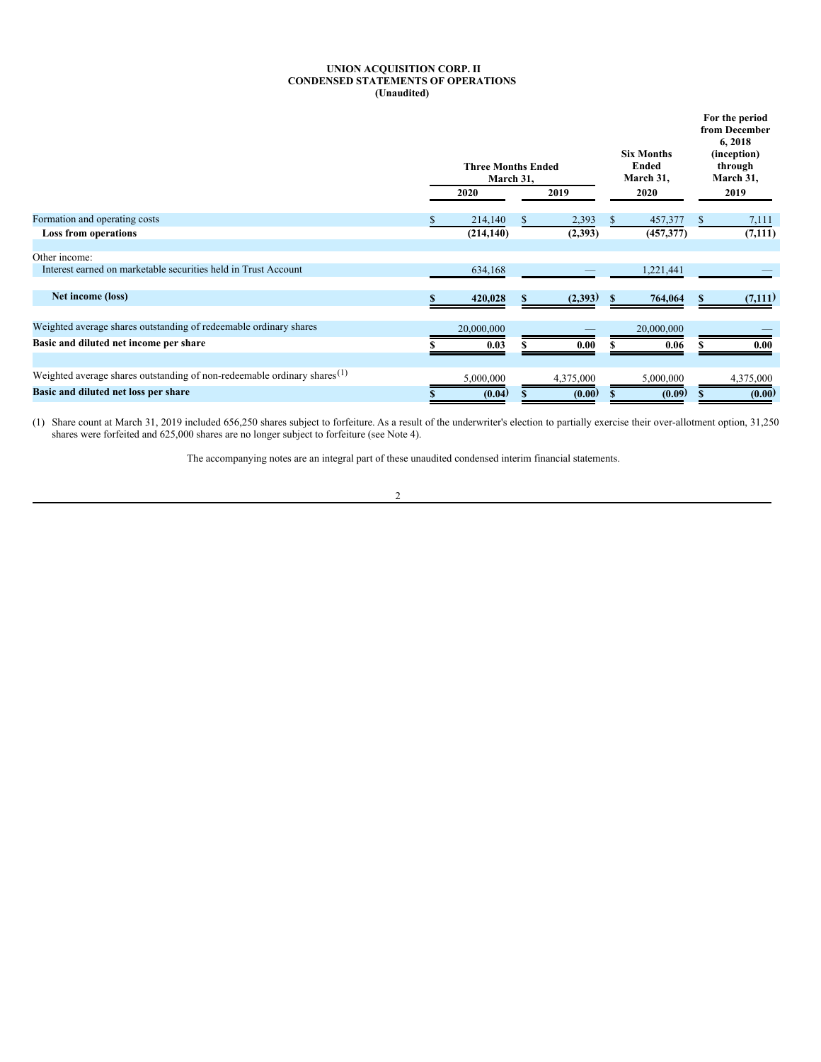# <span id="page-3-0"></span>**UNION ACQUISITION CORP. II CONDENSED STATEMENTS OF OPERATIONS (Unaudited)**

|                                                                                      | <b>Three Months Ended</b><br>March 31, |           |   | <b>Six Months</b><br><b>Ended</b><br>March 31, | For the period<br>from December<br>6, 2018<br>(inception)<br>through<br>March 31, |
|--------------------------------------------------------------------------------------|----------------------------------------|-----------|---|------------------------------------------------|-----------------------------------------------------------------------------------|
|                                                                                      | 2020                                   | 2019      |   | 2020                                           | 2019                                                                              |
| Formation and operating costs                                                        | 214,140                                | 2,393     |   | 457,377                                        | 7,111                                                                             |
| <b>Loss from operations</b>                                                          | (214, 140)                             | (2,393)   |   | (457, 377)                                     | (7,111)                                                                           |
| Other income:                                                                        |                                        |           |   |                                                |                                                                                   |
| Interest earned on marketable securities held in Trust Account                       | 634,168                                |           |   | 1,221,441                                      |                                                                                   |
|                                                                                      |                                        |           |   |                                                |                                                                                   |
| Net income (loss)                                                                    | 420,028                                | (2,393)   | S | 764,064                                        | (7,111)                                                                           |
| Weighted average shares outstanding of redeemable ordinary shares                    |                                        |           |   |                                                |                                                                                   |
|                                                                                      | 20,000,000                             |           |   | 20,000,000                                     |                                                                                   |
| Basic and diluted net income per share                                               | 0.03                                   | 0.00      |   | 0.06                                           | 0.00                                                                              |
| Weighted average shares outstanding of non-redeemable ordinary shares <sup>(1)</sup> | 5,000,000                              | 4,375,000 |   | 5,000,000                                      | 4,375,000                                                                         |
|                                                                                      |                                        |           |   |                                                |                                                                                   |
| Basic and diluted net loss per share                                                 | (0.04)                                 | (0.00)    |   | (0.09)                                         | (0.00)                                                                            |

(1) Share count at March 31, 2019 included 656,250 shares subject to forfeiture. As a result of the underwriter's election to partially exercise their over-allotment option, 31,250 shares were forfeited and 625,000 shares are no longer subject to forfeiture (see Note 4).

The accompanying notes are an integral part of these unaudited condensed interim financial statements.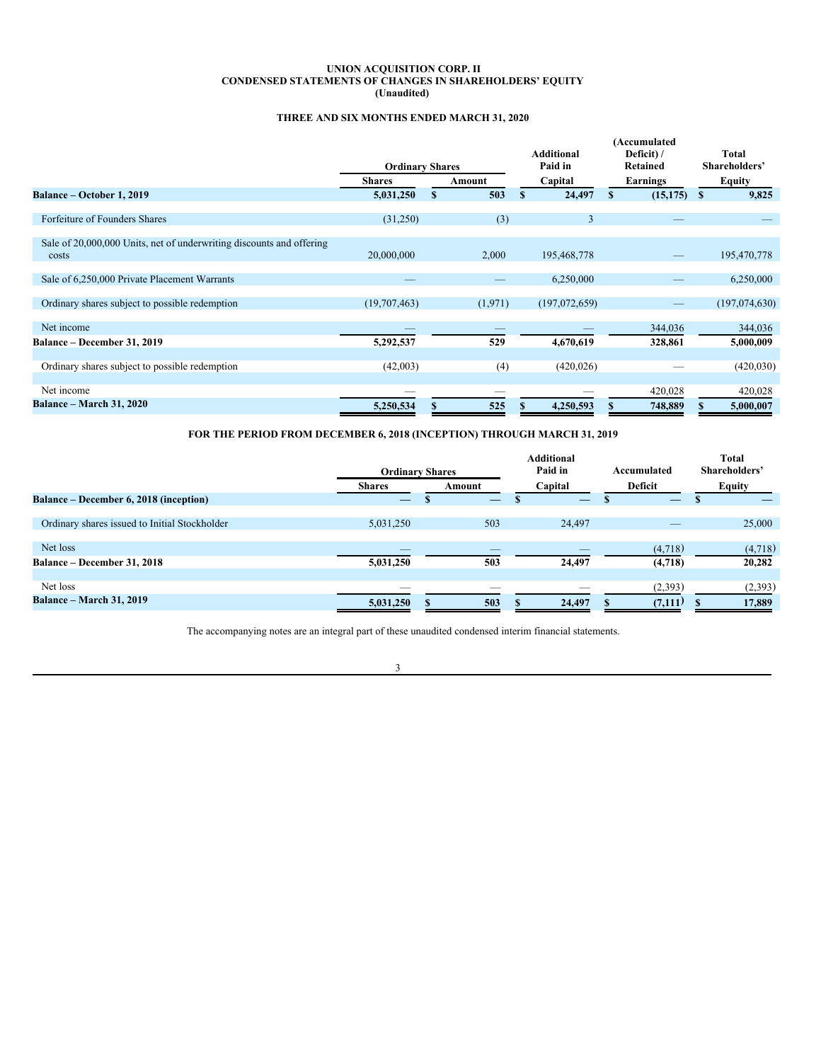### **UNION ACQUISITION CORP. II CONDENSED STATEMENTS OF CHANGES IN SHAREHOLDERS' EQUITY (Unaudited)**

# <span id="page-4-0"></span>**THREE AND SIX MONTHS ENDED MARCH 31, 2020**

|                                                                               |                        |   |         |                              | (Accumulated           |   |                               |
|-------------------------------------------------------------------------------|------------------------|---|---------|------------------------------|------------------------|---|-------------------------------|
|                                                                               | <b>Ordinary Shares</b> |   |         | <b>Additional</b><br>Paid in | Deficit) /<br>Retained |   | <b>Total</b><br>Shareholders' |
|                                                                               | <b>Shares</b>          |   | Amount  | Capital                      | Earnings               |   | Equity                        |
| Balance – October 1, 2019                                                     | 5,031,250              | S | 503     | \$<br>24,497                 | (15, 175)              | S | 9,825                         |
| Forfeiture of Founders Shares                                                 | (31,250)               |   | (3)     | $\mathbf{3}$                 |                        |   |                               |
| Sale of 20,000,000 Units, net of underwriting discounts and offering<br>costs | 20,000,000             |   | 2,000   | 195,468,778                  |                        |   | 195,470,778                   |
| Sale of 6,250,000 Private Placement Warrants                                  |                        |   |         | 6,250,000                    |                        |   | 6,250,000                     |
| Ordinary shares subject to possible redemption                                | (19,707,463)           |   | (1,971) | (197,072,659)                |                        |   | (197,074,630)                 |
| Net income                                                                    |                        |   |         |                              | 344,036                |   | 344,036                       |
| Balance – December 31, 2019                                                   | 5,292,537              |   | 529     | 4,670,619                    | 328,861                |   | 5,000,009                     |
| Ordinary shares subject to possible redemption                                | (42,003)               |   | (4)     | (420, 026)                   |                        |   | (420, 030)                    |
| Net income                                                                    |                        |   |         |                              | 420,028                |   | 420,028                       |
| <b>Balance – March 31, 2020</b>                                               | 5,250,534              |   | 525     | 4,250,593                    | 748,889                |   | 5,000,007                     |

**FOR THE PERIOD FROM DECEMBER 6, 2018 (INCEPTION) THROUGH MARCH 31, 2019**

|                                               | <b>Ordinary Shares</b>        |        | <b>Additional</b><br>Paid in | Accumulated | <b>Total</b><br>Shareholders' |
|-----------------------------------------------|-------------------------------|--------|------------------------------|-------------|-------------------------------|
|                                               | <b>Shares</b>                 | Amount | Capital                      | Deficit     | <b>Equity</b>                 |
| Balance – December 6, 2018 (inception)        | $\overbrace{\phantom{aaaaa}}$ |        | –                            |             |                               |
|                                               |                               |        |                              |             |                               |
| Ordinary shares issued to Initial Stockholder | 5,031,250                     | 503    | 24,497                       |             | 25,000                        |
|                                               |                               |        |                              |             |                               |
| Net loss                                      |                               |        |                              | (4,718)     | (4,718)                       |
| <b>Balance – December 31, 2018</b>            | 5,031,250                     | 503    | 24,497                       | (4,718)     | 20,282                        |
|                                               |                               |        |                              |             |                               |
| Net loss                                      |                               |        |                              | (2, 393)    | (2,393)                       |
| <b>Balance – March 31, 2019</b>               | 5,031,250                     | 503    | 24,497                       | (7,111)     | 17,889                        |

The accompanying notes are an integral part of these unaudited condensed interim financial statements.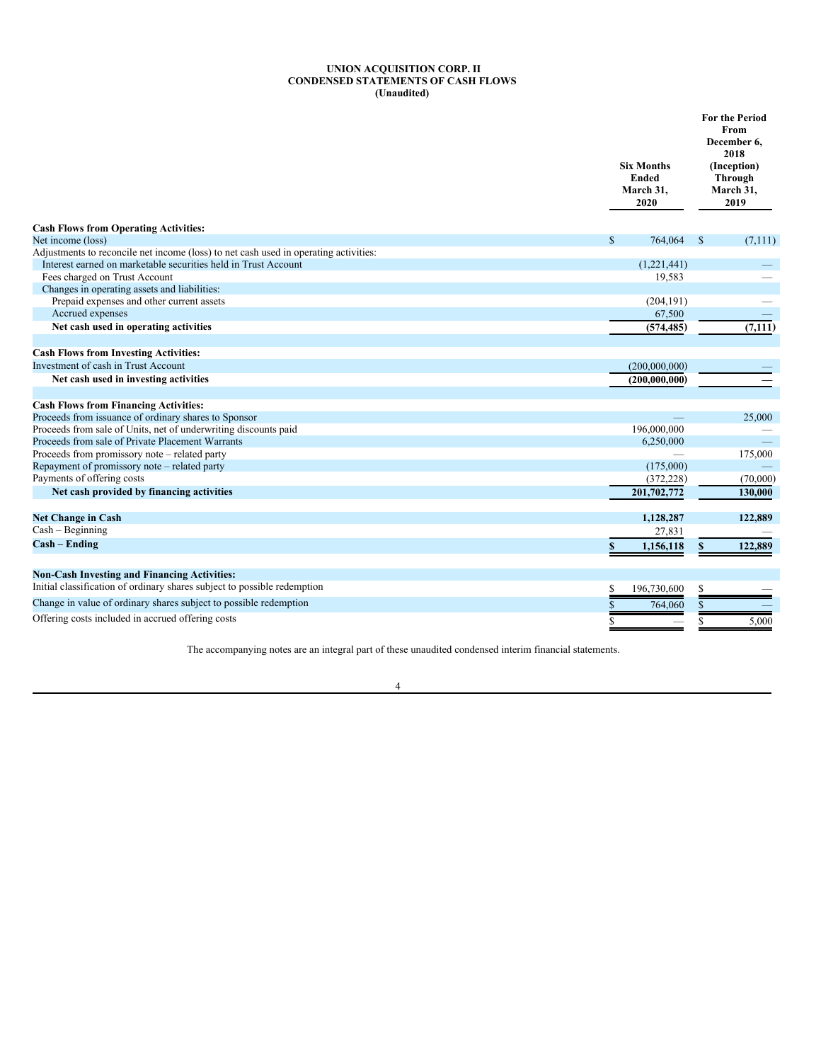#### <span id="page-5-0"></span>**UNION ACQUISITION CORP. II CONDENSED STATEMENTS OF CASH FLOWS (Unaudited)**

|                                                                                      | <b>Six Months</b><br><b>Ended</b><br>March 31,<br>2020 | <b>For the Period</b><br>From<br>December 6.<br>2018<br>(Inception)<br><b>Through</b><br>March 31,<br>2019 |
|--------------------------------------------------------------------------------------|--------------------------------------------------------|------------------------------------------------------------------------------------------------------------|
| <b>Cash Flows from Operating Activities:</b>                                         |                                                        |                                                                                                            |
| Net income (loss)                                                                    | $\mathbb{S}$<br>764,064                                | $\mathbb{S}$<br>(7,111)                                                                                    |
| Adjustments to reconcile net income (loss) to net cash used in operating activities: |                                                        |                                                                                                            |
| Interest earned on marketable securities held in Trust Account                       | (1,221,441)                                            |                                                                                                            |
| Fees charged on Trust Account                                                        | 19,583                                                 |                                                                                                            |
| Changes in operating assets and liabilities:                                         |                                                        |                                                                                                            |
| Prepaid expenses and other current assets                                            | (204, 191)                                             |                                                                                                            |
| Accrued expenses                                                                     | 67,500                                                 |                                                                                                            |
| Net cash used in operating activities                                                | (574, 485)                                             | (7, 111)                                                                                                   |
| <b>Cash Flows from Investing Activities:</b>                                         |                                                        |                                                                                                            |
| Investment of cash in Trust Account                                                  | (200,000,000)                                          |                                                                                                            |
| Net cash used in investing activities                                                | (200, 000, 000)                                        |                                                                                                            |
| <b>Cash Flows from Financing Activities:</b>                                         |                                                        |                                                                                                            |
| Proceeds from issuance of ordinary shares to Sponsor                                 |                                                        | 25,000                                                                                                     |
| Proceeds from sale of Units, net of underwriting discounts paid                      | 196,000,000                                            |                                                                                                            |
| Proceeds from sale of Private Placement Warrants                                     | 6,250,000                                              |                                                                                                            |
| Proceeds from promissory note - related party                                        |                                                        | 175,000                                                                                                    |
| Repayment of promissory note - related party                                         | (175,000)                                              |                                                                                                            |
| Payments of offering costs                                                           | (372, 228)                                             | (70,000)                                                                                                   |
| Net cash provided by financing activities                                            | 201,702,772                                            | 130,000                                                                                                    |
| <b>Net Change in Cash</b>                                                            | 1,128,287                                              | 122,889                                                                                                    |
| Cash - Beginning                                                                     | 27,831                                                 |                                                                                                            |
| Cash – Ending                                                                        | 1,156,118<br>\$                                        | 122,889<br>\$                                                                                              |
|                                                                                      |                                                        |                                                                                                            |
| <b>Non-Cash Investing and Financing Activities:</b>                                  |                                                        |                                                                                                            |
| Initial classification of ordinary shares subject to possible redemption             | 196,730,600<br>S                                       | \$                                                                                                         |
| Change in value of ordinary shares subject to possible redemption                    | 764,060                                                |                                                                                                            |
| Offering costs included in accrued offering costs                                    | S                                                      | 5,000                                                                                                      |

The accompanying notes are an integral part of these unaudited condensed interim financial statements.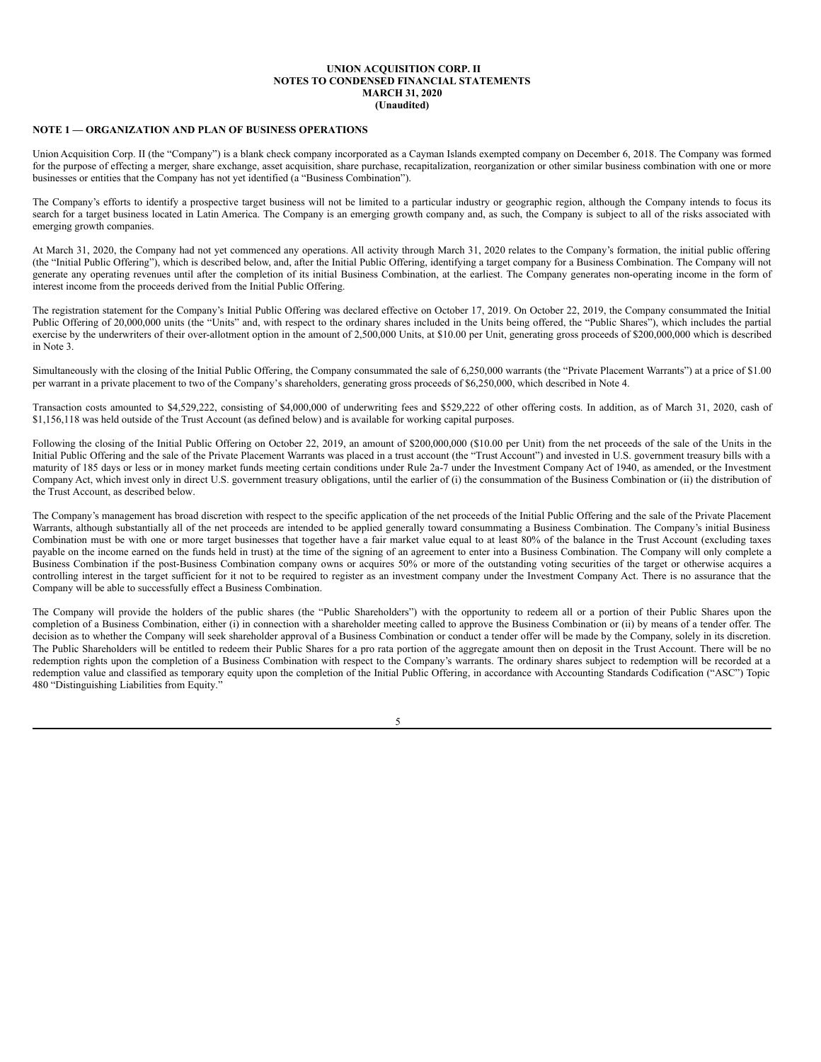## <span id="page-6-0"></span>**NOTE 1 — ORGANIZATION AND PLAN OF BUSINESS OPERATIONS**

Union Acquisition Corp. II (the "Company") is a blank check company incorporated as a Cayman Islands exempted company on December 6, 2018. The Company was formed for the purpose of effecting a merger, share exchange, asset acquisition, share purchase, recapitalization, reorganization or other similar business combination with one or more businesses or entities that the Company has not yet identified (a "Business Combination").

The Company's efforts to identify a prospective target business will not be limited to a particular industry or geographic region, although the Company intends to focus its search for a target business located in Latin America. The Company is an emerging growth company and, as such, the Company is subject to all of the risks associated with emerging growth companies.

At March 31, 2020, the Company had not yet commenced any operations. All activity through March 31, 2020 relates to the Company's formation, the initial public offering (the "Initial Public Offering"), which is described below, and, after the Initial Public Offering, identifying a target company for a Business Combination. The Company will not generate any operating revenues until after the completion of its initial Business Combination, at the earliest. The Company generates non-operating income in the form of interest income from the proceeds derived from the Initial Public Offering.

The registration statement for the Company's Initial Public Offering was declared effective on October 17, 2019. On October 22, 2019, the Company consummated the Initial Public Offering of 20,000,000 units (the "Units" and, with respect to the ordinary shares included in the Units being offered, the "Public Shares"), which includes the partial exercise by the underwriters of their over-allotment option in the amount of 2,500,000 Units, at \$10.00 per Unit, generating gross proceeds of \$200,000,000 which is described in Note 3.

Simultaneously with the closing of the Initial Public Offering, the Company consummated the sale of 6,250,000 warrants (the "Private Placement Warrants") at a price of \$1.00 per warrant in a private placement to two of the Company's shareholders, generating gross proceeds of \$6,250,000, which described in Note 4.

Transaction costs amounted to \$4,529,222, consisting of \$4,000,000 of underwriting fees and \$529,222 of other offering costs. In addition, as of March 31, 2020, cash of \$1,156,118 was held outside of the Trust Account (as defined below) and is available for working capital purposes.

Following the closing of the Initial Public Offering on October 22, 2019, an amount of \$200,000,000 (\$10.00 per Unit) from the net proceeds of the sale of the Units in the Initial Public Offering and the sale of the Private Placement Warrants was placed in a trust account (the "Trust Account") and invested in U.S. government treasury bills with a maturity of 185 days or less or in money market funds meeting certain conditions under Rule 2a-7 under the Investment Company Act of 1940, as amended, or the Investment Company Act, which invest only in direct U.S. government treasury obligations, until the earlier of (i) the consummation of the Business Combination or (ii) the distribution of the Trust Account, as described below.

The Company's management has broad discretion with respect to the specific application of the net proceeds of the Initial Public Offering and the sale of the Private Placement Warrants, although substantially all of the net proceeds are intended to be applied generally toward consummating a Business Combination. The Company's initial Business Combination must be with one or more target businesses that together have a fair market value equal to at least 80% of the balance in the Trust Account (excluding taxes payable on the income earned on the funds held in trust) at the time of the signing of an agreement to enter into a Business Combination. The Company will only complete a Business Combination if the post-Business Combination company owns or acquires 50% or more of the outstanding voting securities of the target or otherwise acquires a controlling interest in the target sufficient for it not to be required to register as an investment company under the Investment Company Act. There is no assurance that the Company will be able to successfully effect a Business Combination.

The Company will provide the holders of the public shares (the "Public Shareholders") with the opportunity to redeem all or a portion of their Public Shares upon the completion of a Business Combination, either (i) in connection with a shareholder meeting called to approve the Business Combination or (ii) by means of a tender offer. The decision as to whether the Company will seek shareholder approval of a Business Combination or conduct a tender offer will be made by the Company, solely in its discretion. The Public Shareholders will be entitled to redeem their Public Shares for a pro rata portion of the aggregate amount then on deposit in the Trust Account. There will be no redemption rights upon the completion of a Business Combination with respect to the Company's warrants. The ordinary shares subject to redemption will be recorded at a redemption value and classified as temporary equity upon the completion of the Initial Public Offering, in accordance with Accounting Standards Codification ("ASC") Topic 480 "Distinguishing Liabilities from Equity."

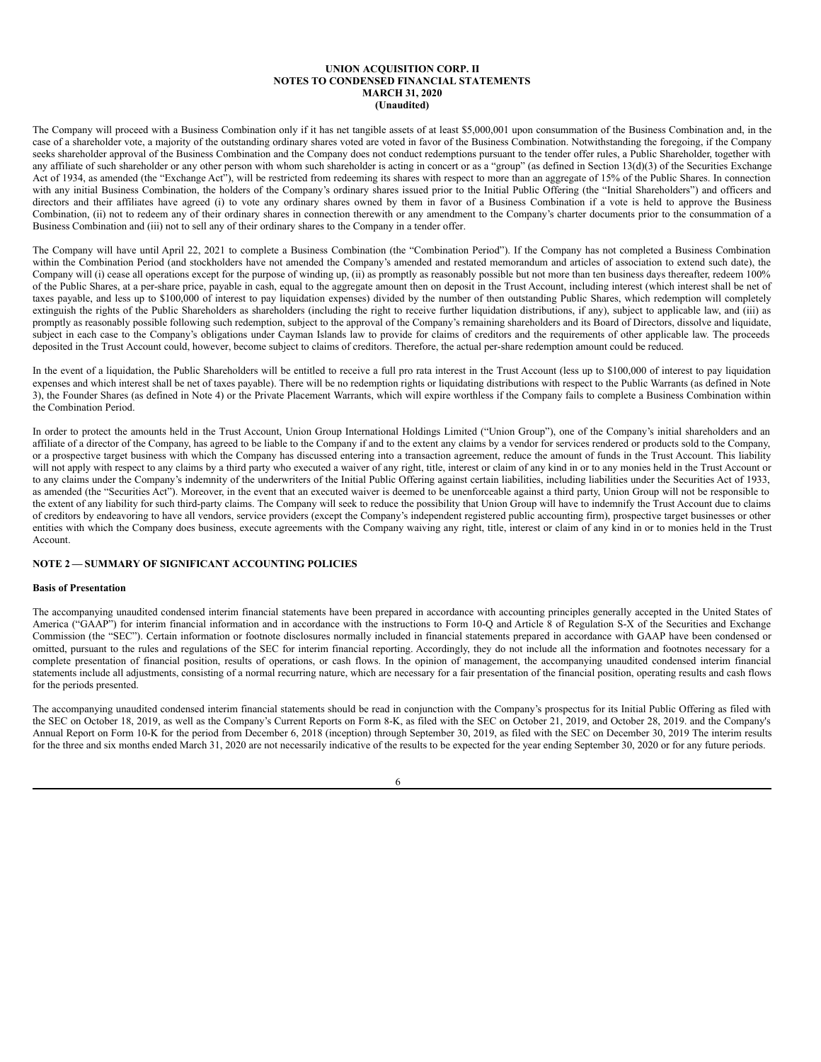The Company will proceed with a Business Combination only if it has net tangible assets of at least \$5,000,001 upon consummation of the Business Combination and, in the case of a shareholder vote, a majority of the outstanding ordinary shares voted are voted in favor of the Business Combination. Notwithstanding the foregoing, if the Company seeks shareholder approval of the Business Combination and the Company does not conduct redemptions pursuant to the tender offer rules, a Public Shareholder, together with any affiliate of such shareholder or any other person with whom such shareholder is acting in concert or as a "group" (as defined in Section 13(d)(3) of the Securities Exchange Act of 1934, as amended (the "Exchange Act"), will be restricted from redeeming its shares with respect to more than an aggregate of 15% of the Public Shares. In connection with any initial Business Combination, the holders of the Company's ordinary shares issued prior to the Initial Public Offering (the "Initial Shareholders") and officers and directors and their affiliates have agreed (i) to vote any ordinary shares owned by them in favor of a Business Combination if a vote is held to approve the Business Combination, (ii) not to redeem any of their ordinary shares in connection therewith or any amendment to the Company's charter documents prior to the consummation of a Business Combination and (iii) not to sell any of their ordinary shares to the Company in a tender offer.

The Company will have until April 22, 2021 to complete a Business Combination (the "Combination Period"). If the Company has not completed a Business Combination within the Combination Period (and stockholders have not amended the Company's amended and restated memorandum and articles of association to extend such date), the Company will (i) cease all operations except for the purpose of winding up,  $(ii)$  as promptly as reasonably possible but not more than ten business days thereafter, redeem 100% of the Public Shares, at a per-share price, payable in cash, equal to the aggregate amount then on deposit in the Trust Account, including interest (which interest shall be net of taxes payable, and less up to \$100,000 of interest to pay liquidation expenses) divided by the number of then outstanding Public Shares, which redemption will completely extinguish the rights of the Public Shareholders as shareholders (including the right to receive further liquidation distributions, if any), subject to applicable law, and (iii) as promptly as reasonably possible following such redemption, subject to the approval of the Company's remaining shareholders and its Board of Directors, dissolve and liquidate, subject in each case to the Company's obligations under Cayman Islands law to provide for claims of creditors and the requirements of other applicable law. The proceeds deposited in the Trust Account could, however, become subject to claims of creditors. Therefore, the actual per-share redemption amount could be reduced.

In the event of a liquidation, the Public Shareholders will be entitled to receive a full pro rata interest in the Trust Account (less up to \$100,000 of interest to pay liquidation expenses and which interest shall be net of taxes payable). There will be no redemption rights or liquidating distributions with respect to the Public Warrants (as defined in Note 3), the Founder Shares (as defined in Note 4) or the Private Placement Warrants, which will expire worthless if the Company fails to complete a Business Combination within the Combination Period.

In order to protect the amounts held in the Trust Account, Union Group International Holdings Limited ("Union Group"), one of the Company's initial shareholders and an affiliate of a director of the Company, has agreed to be liable to the Company if and to the extent any claims by a vendor for services rendered or products sold to the Company, or a prospective target business with which the Company has discussed entering into a transaction agreement, reduce the amount of funds in the Trust Account. This liability will not apply with respect to any claims by a third party who executed a waiver of any right, title, interest or claim of any kind in or to any monies held in the Trust Account or to any claims under the Company's indemnity of the underwriters of the Initial Public Offering against certain liabilities, including liabilities under the Securities Act of 1933, as amended (the "Securities Act"). Moreover, in the event that an executed waiver is deemed to be unenforceable against a third party, Union Group will not be responsible to the extent of any liability for such third-party claims. The Company will seek to reduce the possibility that Union Group will have to indemnify the Trust Account due to claims of creditors by endeavoring to have all vendors, service providers (except the Company's independent registered public accounting firm), prospective target businesses or other entities with which the Company does business, execute agreements with the Company waiving any right, title, interest or claim of any kind in or to monies held in the Trust Account.

### **NOTE 2 — SUMMARY OF SIGNIFICANT ACCOUNTING POLICIES**

#### **Basis of Presentation**

The accompanying unaudited condensed interim financial statements have been prepared in accordance with accounting principles generally accepted in the United States of America ("GAAP") for interim financial information and in accordance with the instructions to Form 10-Q and Article 8 of Regulation S-X of the Securities and Exchange Commission (the "SEC"). Certain information or footnote disclosures normally included in financial statements prepared in accordance with GAAP have been condensed or omitted, pursuant to the rules and regulations of the SEC for interim financial reporting. Accordingly, they do not include all the information and footnotes necessary for a complete presentation of financial position, results of operations, or cash flows. In the opinion of management, the accompanying unaudited condensed interim financial statements include all adjustments, consisting of a normal recurring nature, which are necessary for a fair presentation of the financial position, operating results and cash flows for the periods presented.

The accompanying unaudited condensed interim financial statements should be read in conjunction with the Company's prospectus for its Initial Public Offering as filed with the SEC on October 18, 2019, as well as the Company's Current Reports on Form 8-K, as filed with the SEC on October 21, 2019, and October 28, 2019. and the Company's Annual Report on Form 10-K for the period from December 6, 2018 (inception) through September 30, 2019, as filed with the SEC on December 30, 2019 The interim results for the three and six months ended March 31, 2020 are not necessarily indicative of the results to be expected for the year ending September 30, 2020 or for any future periods.

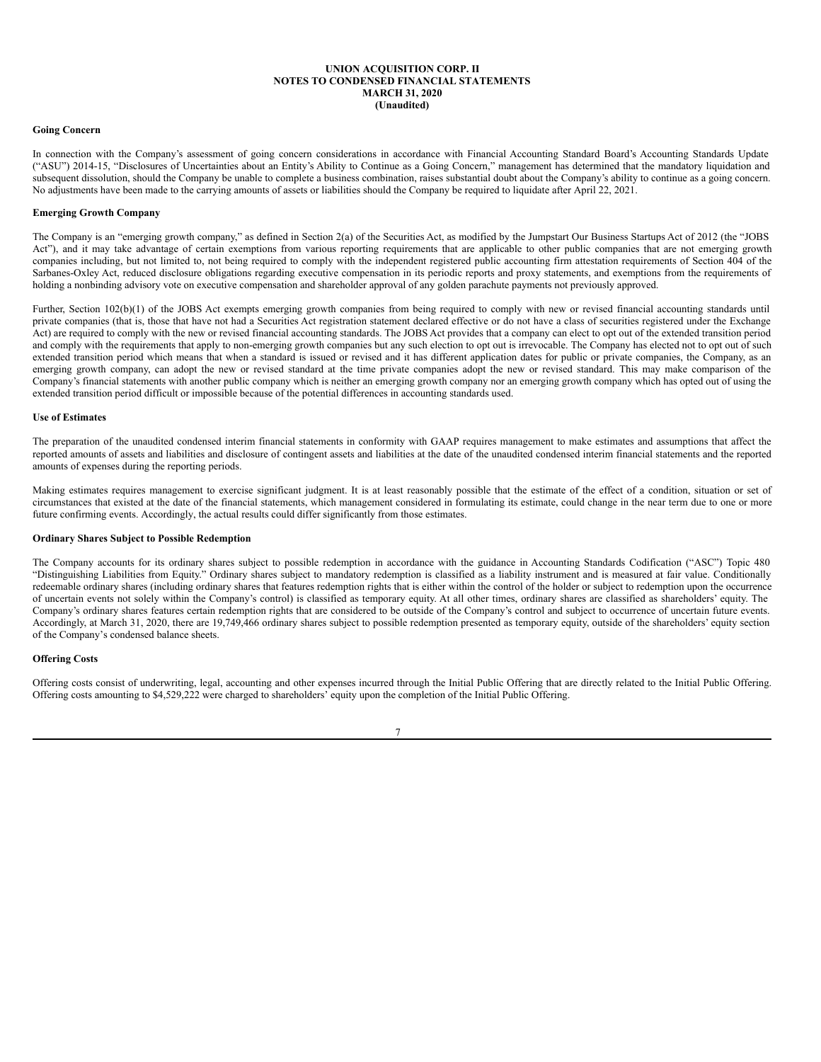#### **Going Concern**

In connection with the Company's assessment of going concern considerations in accordance with Financial Accounting Standard Board's Accounting Standards Update ("ASU") 2014-15, "Disclosures of Uncertainties about an Entity's Ability to Continue as a Going Concern," management has determined that the mandatory liquidation and subsequent dissolution, should the Company be unable to complete a business combination, raises substantial doubt about the Company's ability to continue as a going concern. No adjustments have been made to the carrying amounts of assets or liabilities should the Company be required to liquidate after April 22, 2021.

### **Emerging Growth Company**

The Company is an "emerging growth company," as defined in Section 2(a) of the Securities Act, as modified by the Jumpstart Our Business Startups Act of 2012 (the "JOBS Act"), and it may take advantage of certain exemptions from various reporting requirements that are applicable to other public companies that are not emerging growth companies including, but not limited to, not being required to comply with the independent registered public accounting firm attestation requirements of Section 404 of the Sarbanes-Oxley Act, reduced disclosure obligations regarding executive compensation in its periodic reports and proxy statements, and exemptions from the requirements of holding a nonbinding advisory vote on executive compensation and shareholder approval of any golden parachute payments not previously approved.

Further, Section 102(b)(1) of the JOBS Act exempts emerging growth companies from being required to comply with new or revised financial accounting standards until private companies (that is, those that have not had a Securities Act registration statement declared effective or do not have a class of securities registered under the Exchange Act) are required to comply with the new or revised financial accounting standards. The JOBS Act provides that a company can elect to opt out of the extended transition period and comply with the requirements that apply to non-emerging growth companies but any such election to opt out is irrevocable. The Company has elected not to opt out of such extended transition period which means that when a standard is issued or revised and it has different application dates for public or private companies, the Company, as an emerging growth company, can adopt the new or revised standard at the time private companies adopt the new or revised standard. This may make comparison of the Company's financial statements with another public company which is neither an emerging growth company nor an emerging growth company which has opted out of using the extended transition period difficult or impossible because of the potential differences in accounting standards used.

### **Use of Estimates**

The preparation of the unaudited condensed interim financial statements in conformity with GAAP requires management to make estimates and assumptions that affect the reported amounts of assets and liabilities and disclosure of contingent assets and liabilities at the date of the unaudited condensed interim financial statements and the reported amounts of expenses during the reporting periods.

Making estimates requires management to exercise significant judgment. It is at least reasonably possible that the estimate of the effect of a condition, situation or set of circumstances that existed at the date of the financial statements, which management considered in formulating its estimate, could change in the near term due to one or more future confirming events. Accordingly, the actual results could differ significantly from those estimates.

### **Ordinary Shares Subject to Possible Redemption**

The Company accounts for its ordinary shares subject to possible redemption in accordance with the guidance in Accounting Standards Codification ("ASC") Topic 480 "Distinguishing Liabilities from Equity." Ordinary shares subject to mandatory redemption is classified as a liability instrument and is measured at fair value. Conditionally redeemable ordinary shares (including ordinary shares that features redemption rights that is either within the control of the holder or subject to redemption upon the occurrence of uncertain events not solely within the Company's control) is classified as temporary equity. At all other times, ordinary shares are classified as shareholders' equity. The Company's ordinary shares features certain redemption rights that are considered to be outside of the Company's control and subject to occurrence of uncertain future events. Accordingly, at March 31, 2020, there are 19,749,466 ordinary shares subject to possible redemption presented as temporary equity, outside of the shareholders' equity section of the Company's condensed balance sheets.

## **Offering Costs**

Offering costs consist of underwriting, legal, accounting and other expenses incurred through the Initial Public Offering that are directly related to the Initial Public Offering. Offering costs amounting to \$4,529,222 were charged to shareholders' equity upon the completion of the Initial Public Offering.

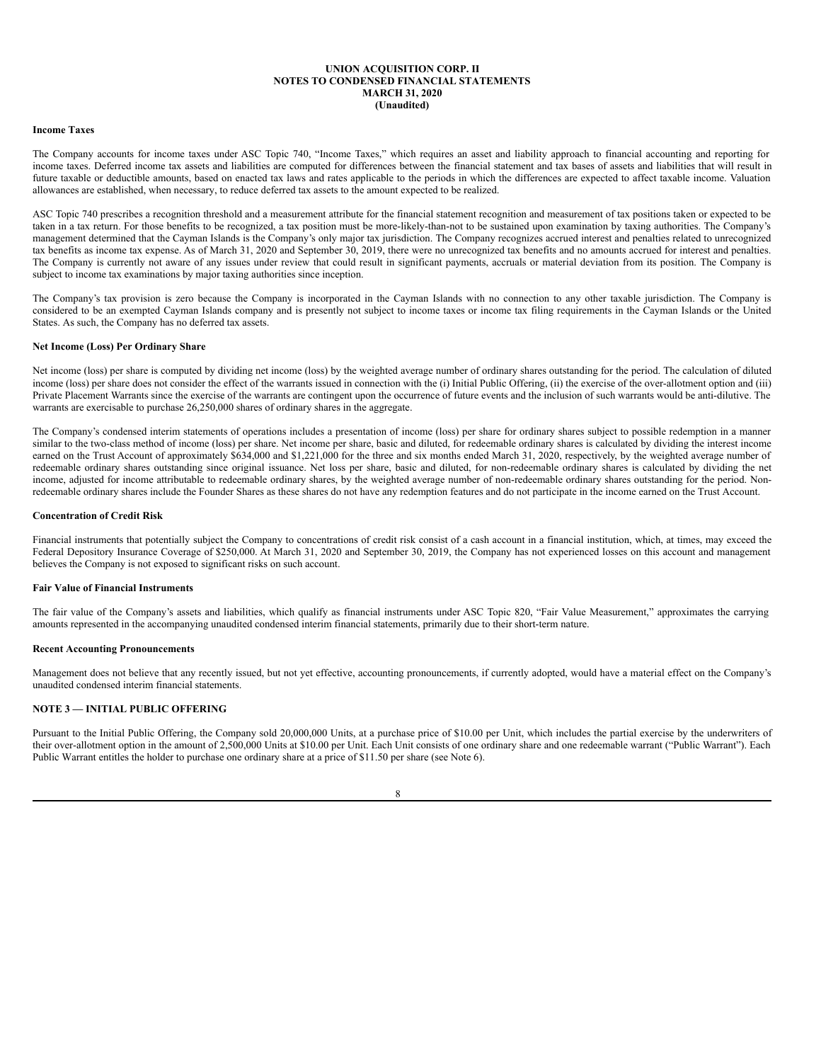#### **Income Taxes**

The Company accounts for income taxes under ASC Topic 740, "Income Taxes," which requires an asset and liability approach to financial accounting and reporting for income taxes. Deferred income tax assets and liabilities are computed for differences between the financial statement and tax bases of assets and liabilities that will result in future taxable or deductible amounts, based on enacted tax laws and rates applicable to the periods in which the differences are expected to affect taxable income. Valuation allowances are established, when necessary, to reduce deferred tax assets to the amount expected to be realized.

ASC Topic 740 prescribes a recognition threshold and a measurement attribute for the financial statement recognition and measurement of tax positions taken or expected to be taken in a tax return. For those benefits to be recognized, a tax position must be more-likely-than-not to be sustained upon examination by taxing authorities. The Company's management determined that the Cayman Islands is the Company's only major tax jurisdiction. The Company recognizes accrued interest and penalties related to unrecognized tax benefits as income tax expense. As of March 31, 2020 and September 30, 2019, there were no unrecognized tax benefits and no amounts accrued for interest and penalties. The Company is currently not aware of any issues under review that could result in significant payments, accruals or material deviation from its position. The Company is subject to income tax examinations by major taxing authorities since inception.

The Company's tax provision is zero because the Company is incorporated in the Cayman Islands with no connection to any other taxable jurisdiction. The Company is considered to be an exempted Cayman Islands company and is presently not subject to income taxes or income tax filing requirements in the Cayman Islands or the United States. As such, the Company has no deferred tax assets.

### **Net Income (Loss) Per Ordinary Share**

Net income (loss) per share is computed by dividing net income (loss) by the weighted average number of ordinary shares outstanding for the period. The calculation of diluted income (loss) per share does not consider the effect of the warrants issued in connection with the (i) Initial Public Offering, (ii) the exercise of the over-allotment option and (iii) Private Placement Warrants since the exercise of the warrants are contingent upon the occurrence of future events and the inclusion of such warrants would be anti-dilutive. The warrants are exercisable to purchase 26,250,000 shares of ordinary shares in the aggregate.

The Company's condensed interim statements of operations includes a presentation of income (loss) per share for ordinary shares subject to possible redemption in a manner similar to the two-class method of income (loss) per share. Net income per share, basic and diluted, for redeemable ordinary shares is calculated by dividing the interest income earned on the Trust Account of approximately \$634,000 and \$1,221,000 for the three and six months ended March 31, 2020, respectively, by the weighted average number of redeemable ordinary shares outstanding since original issuance. Net loss per share, basic and diluted, for non-redeemable ordinary shares is calculated by dividing the net income, adjusted for income attributable to redeemable ordinary shares, by the weighted average number of non-redeemable ordinary shares outstanding for the period. Nonredeemable ordinary shares include the Founder Shares as these shares do not have any redemption features and do not participate in the income earned on the Trust Account.

### **Concentration of Credit Risk**

Financial instruments that potentially subject the Company to concentrations of credit risk consist of a cash account in a financial institution, which, at times, may exceed the Federal Depository Insurance Coverage of \$250,000. At March 31, 2020 and September 30, 2019, the Company has not experienced losses on this account and management believes the Company is not exposed to significant risks on such account.

### **Fair Value of Financial Instruments**

The fair value of the Company's assets and liabilities, which qualify as financial instruments under ASC Topic 820, "Fair Value Measurement," approximates the carrying amounts represented in the accompanying unaudited condensed interim financial statements, primarily due to their short-term nature.

### **Recent Accounting Pronouncements**

Management does not believe that any recently issued, but not yet effective, accounting pronouncements, if currently adopted, would have a material effect on the Company's unaudited condensed interim financial statements.

## **NOTE 3 — INITIAL PUBLIC OFFERING**

Pursuant to the Initial Public Offering, the Company sold 20,000,000 Units, at a purchase price of \$10.00 per Unit, which includes the partial exercise by the underwriters of their over-allotment option in the amount of 2,500,000 Units at \$10.00 per Unit. Each Unit consists of one ordinary share and one redeemable warrant ("Public Warrant"). Each Public Warrant entitles the holder to purchase one ordinary share at a price of \$11.50 per share (see Note 6).

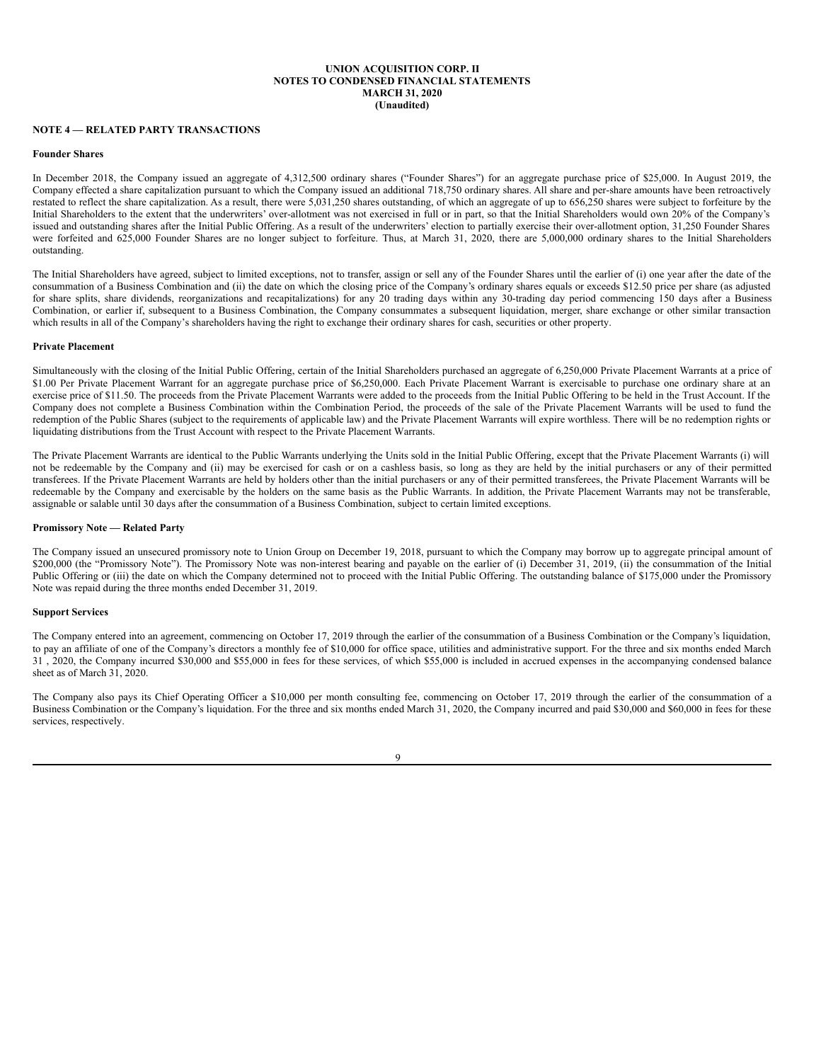### **NOTE 4 — RELATED PARTY TRANSACTIONS**

## **Founder Shares**

In December 2018, the Company issued an aggregate of 4,312,500 ordinary shares ("Founder Shares") for an aggregate purchase price of \$25,000. In August 2019, the Company effected a share capitalization pursuant to which the Company issued an additional 718,750 ordinary shares. All share and per-share amounts have been retroactively restated to reflect the share capitalization. As a result, there were 5,031,250 shares outstanding, of which an aggregate of up to 656,250 shares were subject to forfeiture by the Initial Shareholders to the extent that the underwriters' over-allotment was not exercised in full or in part, so that the Initial Shareholders would own 20% of the Company's issued and outstanding shares after the Initial Public Offering. As a result of the underwriters' election to partially exercise their over-allotment option, 31,250 Founder Shares were forfeited and 625,000 Founder Shares are no longer subject to forfeiture. Thus, at March 31, 2020, there are 5,000,000 ordinary shares to the Initial Shareholders outstanding.

The Initial Shareholders have agreed, subject to limited exceptions, not to transfer, assign or sell any of the Founder Shares until the earlier of (i) one year after the date of the consummation of a Business Combination and (ii) the date on which the closing price of the Company's ordinary shares equals or exceeds \$12.50 price per share (as adjusted for share splits, share dividends, reorganizations and recapitalizations) for any 20 trading days within any 30-trading day period commencing 150 days after a Business Combination, or earlier if, subsequent to a Business Combination, the Company consummates a subsequent liquidation, merger, share exchange or other similar transaction which results in all of the Company's shareholders having the right to exchange their ordinary shares for cash, securities or other property.

### **Private Placement**

Simultaneously with the closing of the Initial Public Offering, certain of the Initial Shareholders purchased an aggregate of 6,250,000 Private Placement Warrants at a price of \$1.00 Per Private Placement Warrant for an aggregate purchase price of \$6,250,000. Each Private Placement Warrant is exercisable to purchase one ordinary share at an exercise price of \$11.50. The proceeds from the Private Placement Warrants were added to the proceeds from the Initial Public Offering to be held in the Trust Account. If the Company does not complete a Business Combination within the Combination Period, the proceeds of the sale of the Private Placement Warrants will be used to fund the redemption of the Public Shares (subject to the requirements of applicable law) and the Private Placement Warrants will expire worthless. There will be no redemption rights or liquidating distributions from the Trust Account with respect to the Private Placement Warrants.

The Private Placement Warrants are identical to the Public Warrants underlying the Units sold in the Initial Public Offering, except that the Private Placement Warrants (i) will not be redeemable by the Company and (ii) may be exercised for cash or on a cashless basis, so long as they are held by the initial purchasers or any of their permitted transferees. If the Private Placement Warrants are held by holders other than the initial purchasers or any of their permitted transferees, the Private Placement Warrants will be redeemable by the Company and exercisable by the holders on the same basis as the Public Warrants. In addition, the Private Placement Warrants may not be transferable, assignable or salable until 30 days after the consummation of a Business Combination, subject to certain limited exceptions.

#### **Promissory Note — Related Party**

The Company issued an unsecured promissory note to Union Group on December 19, 2018, pursuant to which the Company may borrow up to aggregate principal amount of \$200,000 (the "Promissory Note"). The Promissory Note was non-interest bearing and payable on the earlier of (i) December 31, 2019, (ii) the consummation of the Initial Public Offering or (iii) the date on which the Company determined not to proceed with the Initial Public Offering. The outstanding balance of \$175,000 under the Promissory Note was repaid during the three months ended December 31, 2019.

### **Support Services**

The Company entered into an agreement, commencing on October 17, 2019 through the earlier of the consummation of a Business Combination or the Company's liquidation, to pay an affiliate of one of the Company's directors a monthly fee of \$10,000 for office space, utilities and administrative support. For the three and six months ended March 31 , 2020, the Company incurred \$30,000 and \$55,000 in fees for these services, of which \$55,000 is included in accrued expenses in the accompanying condensed balance sheet as of March 31, 2020.

The Company also pays its Chief Operating Officer a \$10,000 per month consulting fee, commencing on October 17, 2019 through the earlier of the consummation of a Business Combination or the Company's liquidation. For the three and six months ended March 31, 2020, the Company incurred and paid \$30,000 and \$60,000 in fees for these services, respectively.

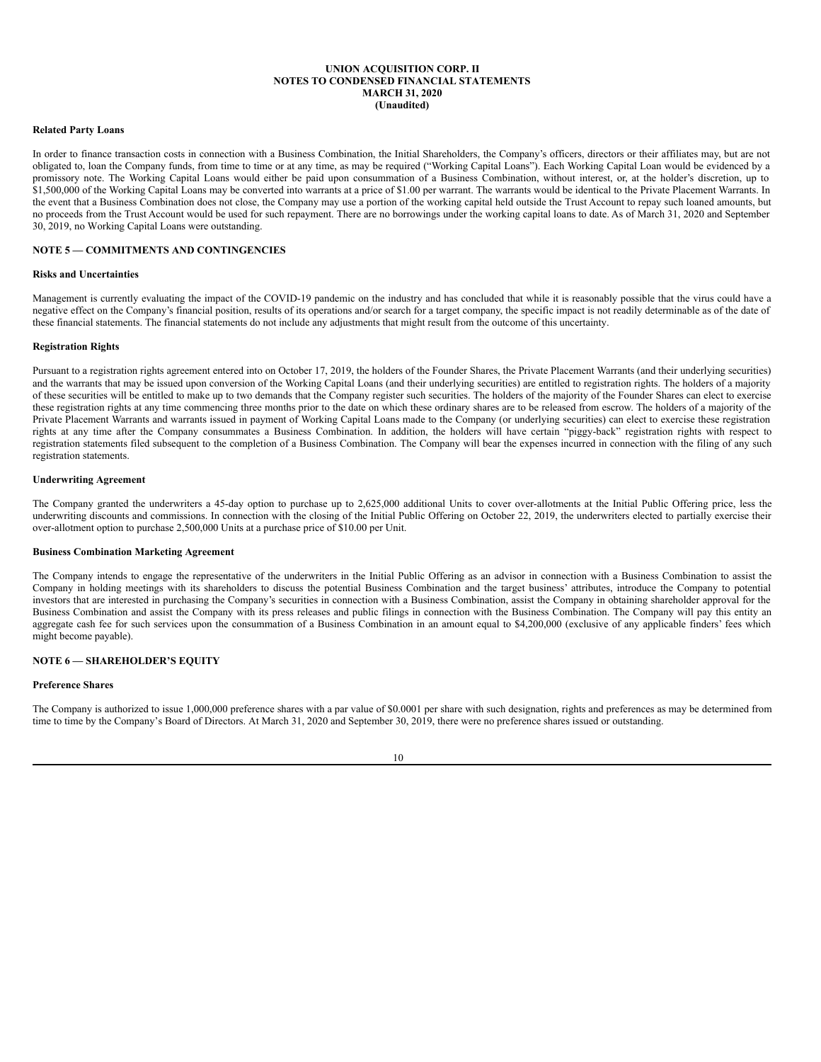#### **Related Party Loans**

In order to finance transaction costs in connection with a Business Combination, the Initial Shareholders, the Company's officers, directors or their affiliates may, but are not obligated to, loan the Company funds, from time to time or at any time, as may be required ("Working Capital Loans"). Each Working Capital Loan would be evidenced by a promissory note. The Working Capital Loans would either be paid upon consummation of a Business Combination, without interest, or, at the holder's discretion, up to \$1,500,000 of the Working Capital Loans may be converted into warrants at a price of \$1.00 per warrant. The warrants would be identical to the Private Placement Warrants. In the event that a Business Combination does not close, the Company may use a portion of the working capital held outside the Trust Account to repay such loaned amounts, but no proceeds from the Trust Account would be used for such repayment. There are no borrowings under the working capital loans to date. As of March 31, 2020 and September 30, 2019, no Working Capital Loans were outstanding.

### **NOTE 5 — COMMITMENTS AND CONTINGENCIES**

#### **Risks and Uncertainties**

Management is currently evaluating the impact of the COVID-19 pandemic on the industry and has concluded that while it is reasonably possible that the virus could have a negative effect on the Company's financial position, results of its operations and/or search for a target company, the specific impact is not readily determinable as of the date of these financial statements. The financial statements do not include any adjustments that might result from the outcome of this uncertainty.

### **Registration Rights**

Pursuant to a registration rights agreement entered into on October 17, 2019, the holders of the Founder Shares, the Private Placement Warrants (and their underlying securities) and the warrants that may be issued upon conversion of the Working Capital Loans (and their underlying securities) are entitled to registration rights. The holders of a majority of these securities will be entitled to make up to two demands that the Company register such securities. The holders of the majority of the Founder Shares can elect to exercise these registration rights at any time commencing three months prior to the date on which these ordinary shares are to be released from escrow. The holders of a majority of the Private Placement Warrants and warrants issued in payment of Working Capital Loans made to the Company (or underlying securities) can elect to exercise these registration rights at any time after the Company consummates a Business Combination. In addition, the holders will have certain "piggy-back" registration rights with respect to registration statements filed subsequent to the completion of a Business Combination. The Company will bear the expenses incurred in connection with the filing of any such registration statements.

### **Underwriting Agreement**

The Company granted the underwriters a 45-day option to purchase up to 2,625,000 additional Units to cover over-allotments at the Initial Public Offering price, less the underwriting discounts and commissions. In connection with the closing of the Initial Public Offering on October 22, 2019, the underwriters elected to partially exercise their over-allotment option to purchase 2,500,000 Units at a purchase price of \$10.00 per Unit.

### **Business Combination Marketing Agreement**

The Company intends to engage the representative of the underwriters in the Initial Public Offering as an advisor in connection with a Business Combination to assist the Company in holding meetings with its shareholders to discuss the potential Business Combination and the target business' attributes, introduce the Company to potential investors that are interested in purchasing the Company's securities in connection with a Business Combination, assist the Company in obtaining shareholder approval for the Business Combination and assist the Company with its press releases and public filings in connection with the Business Combination. The Company will pay this entity an aggregate cash fee for such services upon the consummation of a Business Combination in an amount equal to \$4,200,000 (exclusive of any applicable finders' fees which might become payable).

### **NOTE 6 — SHAREHOLDER'S EQUITY**

### **Preference Shares**

The Company is authorized to issue 1,000,000 preference shares with a par value of \$0.0001 per share with such designation, rights and preferences as may be determined from time to time by the Company's Board of Directors. At March 31, 2020 and September 30, 2019, there were no preference shares issued or outstanding.

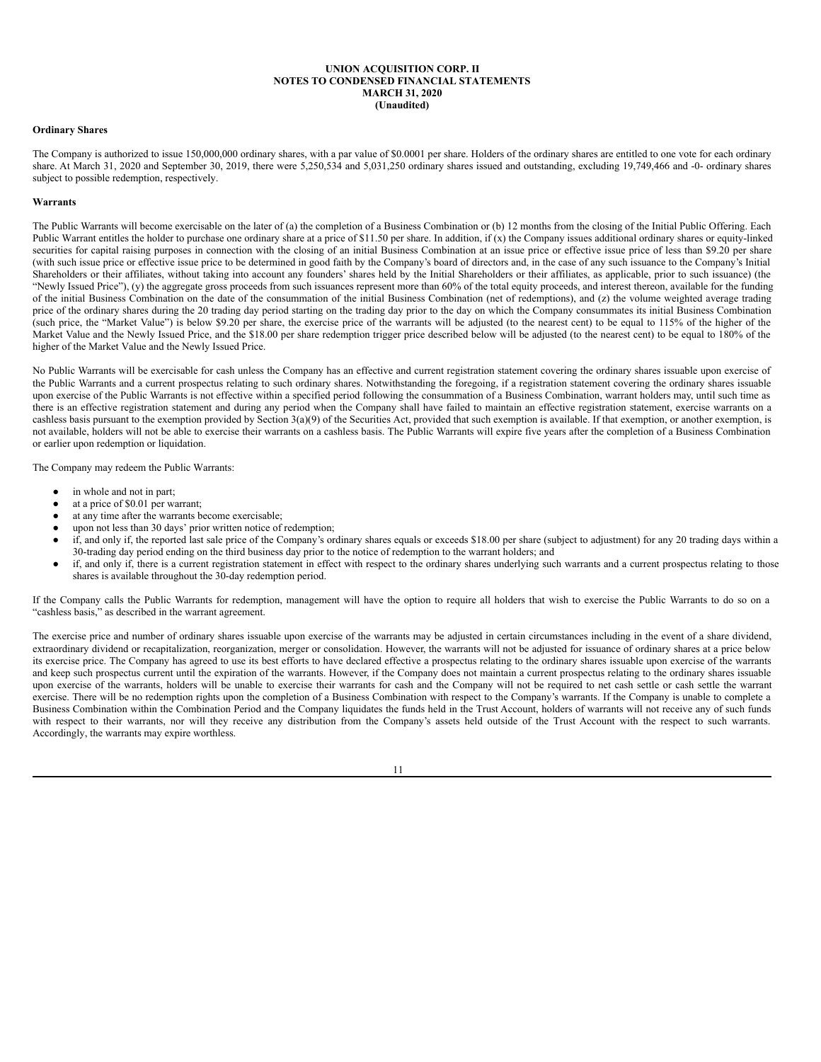#### **Ordinary Shares**

The Company is authorized to issue 150,000,000 ordinary shares, with a par value of \$0,0001 per share. Holders of the ordinary shares are entitled to one vote for each ordinary share. At March 31, 2020 and September 30, 2019, there were 5,250,534 and 5,031,250 ordinary shares issued and outstanding, excluding 19,749,466 and -0- ordinary shares subject to possible redemption, respectively.

#### **Warrants**

The Public Warrants will become exercisable on the later of (a) the completion of a Business Combination or (b) 12 months from the closing of the Initial Public Offering. Each Public Warrant entitles the holder to purchase one ordinary share at a price of \$11.50 per share. In addition, if  $(x)$  the Company issues additional ordinary shares or equity-linked securities for capital raising purposes in connection with the closing of an initial Business Combination at an issue price or effective issue price of less than \$9.20 per share (with such issue price or effective issue price to be determined in good faith by the Company's board of directors and, in the case of any such issuance to the Company's Initial Shareholders or their affiliates, without taking into account any founders' shares held by the Initial Shareholders or their affiliates, as applicable, prior to such issuance) (the "Newly Issued Price"), (y) the aggregate gross proceeds from such issuances represent more than 60% of the total equity proceeds, and interest thereon, available for the funding of the initial Business Combination on the date of the consummation of the initial Business Combination (net of redemptions), and (z) the volume weighted average trading price of the ordinary shares during the 20 trading day period starting on the trading day prior to the day on which the Company consummates its initial Business Combination (such price, the "Market Value") is below \$9.20 per share, the exercise price of the warrants will be adjusted (to the nearest cent) to be equal to 115% of the higher of the Market Value and the Newly Issued Price, and the \$18.00 per share redemption trigger price described below will be adjusted (to the nearest cent) to be equal to 180% of the higher of the Market Value and the Newly Issued Price.

No Public Warrants will be exercisable for cash unless the Company has an effective and current registration statement covering the ordinary shares issuable upon exercise of the Public Warrants and a current prospectus relating to such ordinary shares. Notwithstanding the foregoing, if a registration statement covering the ordinary shares issuable upon exercise of the Public Warrants is not effective within a specified period following the consummation of a Business Combination, warrant holders may, until such time as there is an effective registration statement and during any period when the Company shall have failed to maintain an effective registration statement, exercise warrants on a cashless basis pursuant to the exemption provided by Section  $3(a)(9)$  of the Securities Act, provided that such exemption is available. If that exemption, or another exemption, is not available, holders will not be able to exercise their warrants on a cashless basis. The Public Warrants will expire five years after the completion of a Business Combination or earlier upon redemption or liquidation.

The Company may redeem the Public Warrants:

- in whole and not in part;
- at a price of \$0.01 per warrant;
- at any time after the warrants become exercisable;
- upon not less than 30 days' prior written notice of redemption;
- if, and only if, the reported last sale price of the Company's ordinary shares equals or exceeds \$18.00 per share (subject to adjustment) for any 20 trading days within a 30-trading day period ending on the third business day prior to the notice of redemption to the warrant holders; and
- if, and only if, there is a current registration statement in effect with respect to the ordinary shares underlying such warrants and a current prospectus relating to those shares is available throughout the 30-day redemption period.

If the Company calls the Public Warrants for redemption, management will have the option to require all holders that wish to exercise the Public Warrants to do so on a "cashless basis," as described in the warrant agreement.

The exercise price and number of ordinary shares issuable upon exercise of the warrants may be adjusted in certain circumstances including in the event of a share dividend, extraordinary dividend or recapitalization, reorganization, merger or consolidation. However, the warrants will not be adjusted for issuance of ordinary shares at a price below its exercise price. The Company has agreed to use its best efforts to have declared effective a prospectus relating to the ordinary shares issuable upon exercise of the warrants and keep such prospectus current until the expiration of the warrants. However, if the Company does not maintain a current prospectus relating to the ordinary shares issuable upon exercise of the warrants, holders will be unable to exercise their warrants for cash and the Company will not be required to net cash settle or cash settle the warrant exercise. There will be no redemption rights upon the completion of a Business Combination with respect to the Company's warrants. If the Company is unable to complete a Business Combination within the Combination Period and the Company liquidates the funds held in the Trust Account, holders of warrants will not receive any of such funds with respect to their warrants, nor will they receive any distribution from the Company's assets held outside of the Trust Account with the respect to such warrants. Accordingly, the warrants may expire worthless.

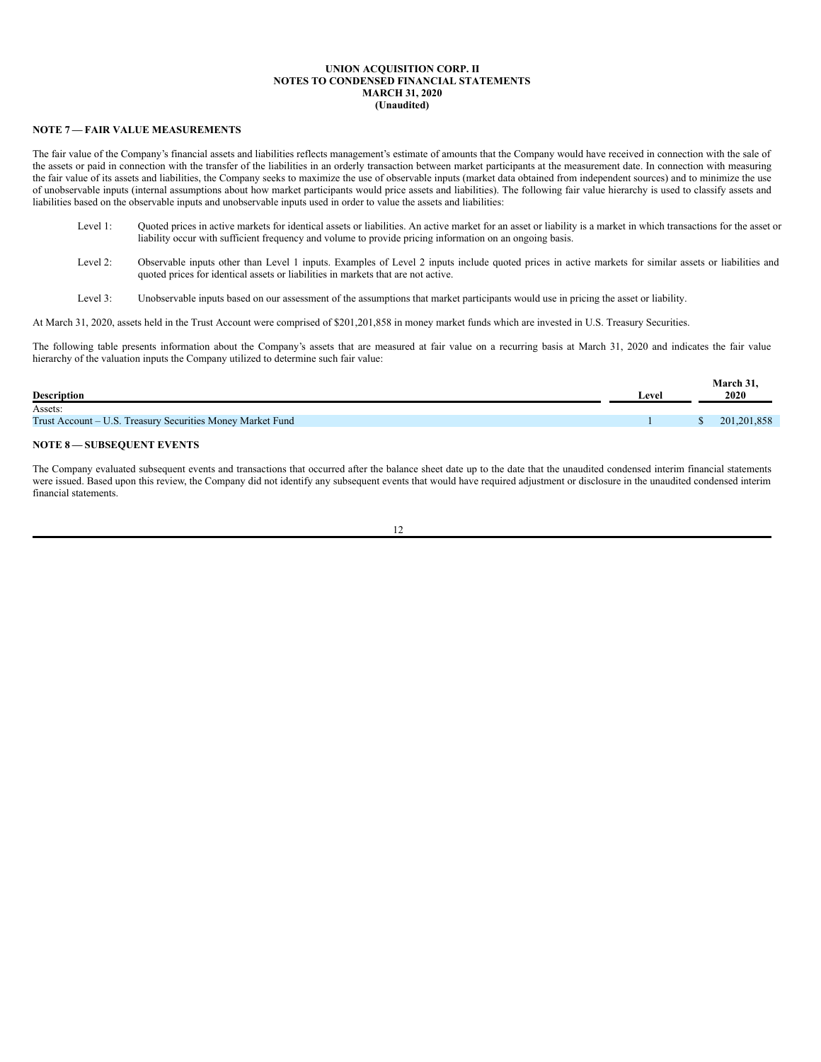# **NOTE 7 — FAIR VALUE MEASUREMENTS**

The fair value of the Company's financial assets and liabilities reflects management's estimate of amounts that the Company would have received in connection with the sale of the assets or paid in connection with the transfer of the liabilities in an orderly transaction between market participants at the measurement date. In connection with measuring the fair value of its assets and liabilities, the Company seeks to maximize the use of observable inputs (market data obtained from independent sources) and to minimize the use of unobservable inputs (internal assumptions about how market participants would price assets and liabilities). The following fair value hierarchy is used to classify assets and liabilities based on the observable inputs and unobservable inputs used in order to value the assets and liabilities:

- Level 1: Quoted prices in active markets for identical assets or liabilities. An active market for an asset or liability is a market in which transactions for the asset or liability occur with sufficient frequency and volume to provide pricing information on an ongoing basis.
- Level 2: Observable inputs other than Level 1 inputs. Examples of Level 2 inputs include quoted prices in active markets for similar assets or liabilities and quoted prices for identical assets or liabilities in markets that are not active.
- Level 3: Unobservable inputs based on our assessment of the assumptions that market participants would use in pricing the asset or liability.

At March 31, 2020, assets held in the Trust Account were comprised of \$201,201,858 in money market funds which are invested in U.S. Treasury Securities.

The following table presents information about the Company's assets that are measured at fair value on a recurring basis at March 31, 2020 and indicates the fair value hierarchy of the valuation inputs the Company utilized to determine such fair value:

|                                                            |       | March 31.     |
|------------------------------------------------------------|-------|---------------|
| <b>Description</b>                                         | ∟evel | 2020          |
| Assets:                                                    |       |               |
| Trust Account – U.S. Treasury Securities Money Market Fund |       | 201, 201, 858 |
|                                                            |       |               |

## **NOTE 8 — SUBSEQUENT EVENTS**

The Company evaluated subsequent events and transactions that occurred after the balance sheet date up to the date that the unaudited condensed interim financial statements were issued. Based upon this review, the Company did not identify any subsequent events that would have required adjustment or disclosure in the unaudited condensed interim financial statements.

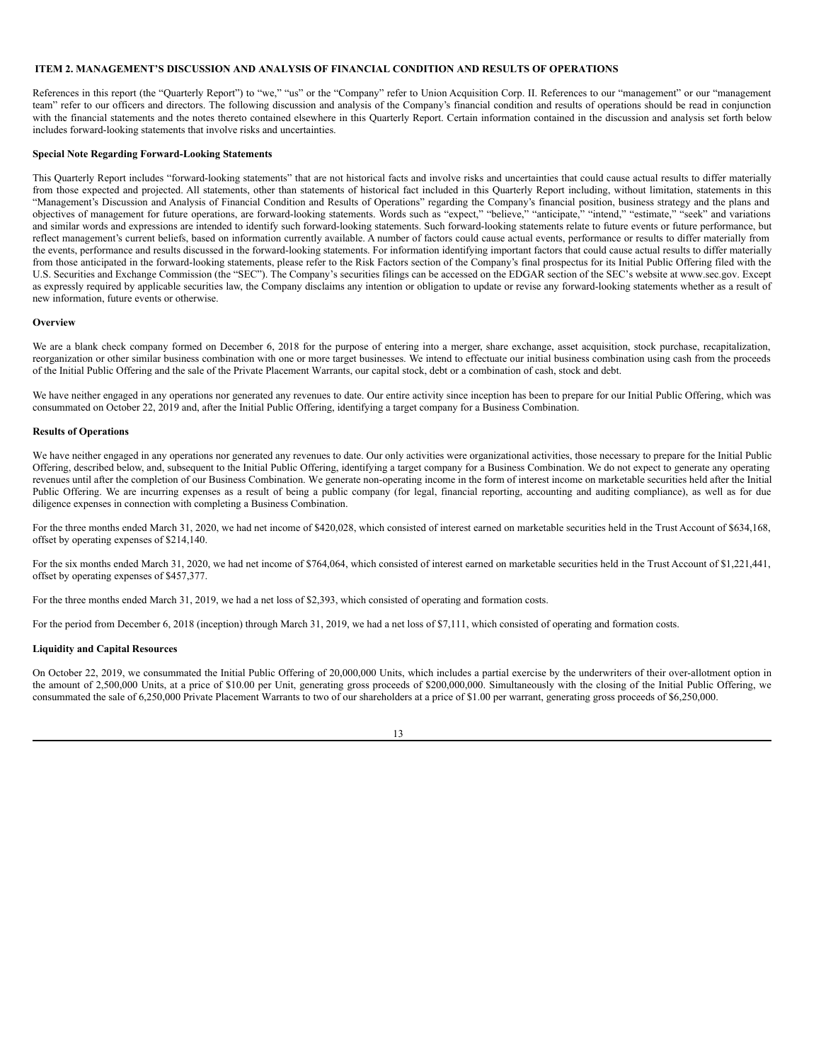### <span id="page-14-0"></span>**ITEM 2. MANAGEMENT'S DISCUSSION AND ANALYSIS OF FINANCIAL CONDITION AND RESULTS OF OPERATIONS**

References in this report (the "Quarterly Report") to "we," "us" or the "Company" refer to Union Acquisition Corp. II. References to our "management" or our "management team" refer to our officers and directors. The following discussion and analysis of the Company's financial condition and results of operations should be read in conjunction with the financial statements and the notes thereto contained elsewhere in this Quarterly Report. Certain information contained in the discussion and analysis set forth below includes forward-looking statements that involve risks and uncertainties.

## **Special Note Regarding Forward-Looking Statements**

This Quarterly Report includes "forward-looking statements" that are not historical facts and involve risks and uncertainties that could cause actual results to differ materially from those expected and projected. All statements, other than statements of historical fact included in this Quarterly Report including, without limitation, statements in this "Management's Discussion and Analysis of Financial Condition and Results of Operations" regarding the Company's financial position, business strategy and the plans and objectives of management for future operations, are forward-looking statements. Words such as "expect," "believe," "anticipate," "intend," "estimate," "seek" and variations and similar words and expressions are intended to identify such forward-looking statements. Such forward-looking statements relate to future events or future performance, but reflect management's current beliefs, based on information currently available. A number of factors could cause actual events, performance or results to differ materially from the events, performance and results discussed in the forward-looking statements. For information identifying important factors that could cause actual results to differ materially from those anticipated in the forward-looking statements, please refer to the Risk Factors section of the Company's final prospectus for its Initial Public Offering filed with the U.S. Securities and Exchange Commission (the "SEC"). The Company's securities filings can be accessed on the EDGAR section of the SEC's website at www.sec.gov. Except as expressly required by applicable securities law, the Company disclaims any intention or obligation to update or revise any forward-looking statements whether as a result of new information, future events or otherwise.

#### **Overview**

We are a blank check company formed on December 6, 2018 for the purpose of entering into a merger, share exchange, asset acquisition, stock purchase, recapitalization, reorganization or other similar business combination with one or more target businesses. We intend to effectuate our initial business combination using cash from the proceeds of the Initial Public Offering and the sale of the Private Placement Warrants, our capital stock, debt or a combination of cash, stock and debt.

We have neither engaged in any operations nor generated any revenues to date. Our entire activity since inception has been to prepare for our Initial Public Offering, which was consummated on October 22, 2019 and, after the Initial Public Offering, identifying a target company for a Business Combination.

#### **Results of Operations**

We have neither engaged in any operations nor generated any revenues to date. Our only activities were organizational activities, those necessary to prepare for the Initial Public Offering, described below, and, subsequent to the Initial Public Offering, identifying a target company for a Business Combination. We do not expect to generate any operating revenues until after the completion of our Business Combination. We generate non-operating income in the form of interest income on marketable securities held after the Initial Public Offering. We are incurring expenses as a result of being a public company (for legal, financial reporting, accounting and auditing compliance), as well as for due diligence expenses in connection with completing a Business Combination.

For the three months ended March 31, 2020, we had net income of \$420,028, which consisted of interest earned on marketable securities held in the Trust Account of \$634,168, offset by operating expenses of \$214,140.

For the six months ended March 31, 2020, we had net income of \$764,064, which consisted of interest earned on marketable securities held in the Trust Account of \$1,221,441, offset by operating expenses of \$457,377.

For the three months ended March 31, 2019, we had a net loss of \$2,393, which consisted of operating and formation costs.

For the period from December 6, 2018 (inception) through March 31, 2019, we had a net loss of \$7,111, which consisted of operating and formation costs.

### **Liquidity and Capital Resources**

On October 22, 2019, we consummated the Initial Public Offering of 20,000,000 Units, which includes a partial exercise by the underwriters of their over-allotment option in the amount of 2,500,000 Units, at a price of \$10.00 per Unit, generating gross proceeds of \$200,000,000. Simultaneously with the closing of the Initial Public Offering, we consummated the sale of 6,250,000 Private Placement Warrants to two of our shareholders at a price of \$1.00 per warrant, generating gross proceeds of \$6,250,000.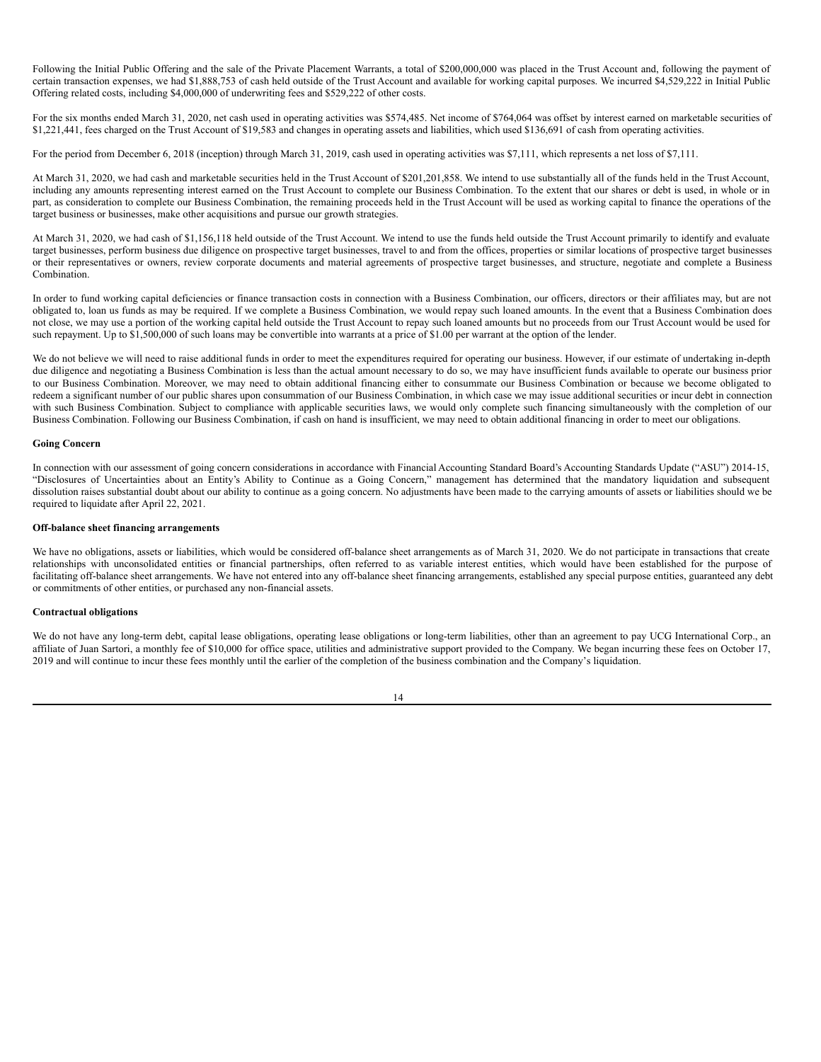Following the Initial Public Offering and the sale of the Private Placement Warrants, a total of \$200,000,000 was placed in the Trust Account and, following the payment of certain transaction expenses, we had \$1,888,753 of cash held outside of the Trust Account and available for working capital purposes. We incurred \$4,529,222 in Initial Public Offering related costs, including \$4,000,000 of underwriting fees and \$529,222 of other costs.

For the six months ended March 31, 2020, net cash used in operating activities was \$574,485. Net income of \$764,064 was offset by interest earned on marketable securities of \$1,221,441, fees charged on the Trust Account of \$19,583 and changes in operating assets and liabilities, which used \$136,691 of cash from operating activities.

For the period from December 6, 2018 (inception) through March 31, 2019, cash used in operating activities was \$7,111, which represents a net loss of \$7,111.

At March 31, 2020, we had cash and marketable securities held in the Trust Account of \$201,201,858. We intend to use substantially all of the funds held in the Trust Account, including any amounts representing interest earned on the Trust Account to complete our Business Combination. To the extent that our shares or debt is used, in whole or in part, as consideration to complete our Business Combination, the remaining proceeds held in the Trust Account will be used as working capital to finance the operations of the target business or businesses, make other acquisitions and pursue our growth strategies.

At March 31, 2020, we had cash of \$1,156,118 held outside of the Trust Account. We intend to use the funds held outside the Trust Account primarily to identify and evaluate target businesses, perform business due diligence on prospective target businesses, travel to and from the offices, properties or similar locations of prospective target businesses or their representatives or owners, review corporate documents and material agreements of prospective target businesses, and structure, negotiate and complete a Business Combination.

In order to fund working capital deficiencies or finance transaction costs in connection with a Business Combination, our officers, directors or their affiliates may, but are not obligated to, loan us funds as may be required. If we complete a Business Combination, we would repay such loaned amounts. In the event that a Business Combination does not close, we may use a portion of the working capital held outside the Trust Account to repay such loaned amounts but no proceeds from our Trust Account would be used for such repayment. Up to \$1,500,000 of such loans may be convertible into warrants at a price of \$1.00 per warrant at the option of the lender.

We do not believe we will need to raise additional funds in order to meet the expenditures required for operating our business. However, if our estimate of undertaking in-depth due diligence and negotiating a Business Combination is less than the actual amount necessary to do so, we may have insufficient funds available to operate our business prior to our Business Combination. Moreover, we may need to obtain additional financing either to consummate our Business Combination or because we become obligated to redeem a significant number of our public shares upon consummation of our Business Combination, in which case we may issue additional securities or incur debt in connection with such Business Combination. Subject to compliance with applicable securities laws, we would only complete such financing simultaneously with the completion of our Business Combination. Following our Business Combination, if cash on hand is insufficient, we may need to obtain additional financing in order to meet our obligations.

### **Going Concern**

In connection with our assessment of going concern considerations in accordance with Financial Accounting Standard Board's Accounting Standards Update ("ASU") 2014-15, "Disclosures of Uncertainties about an Entity's Ability to Continue as a Going Concern," management has determined that the mandatory liquidation and subsequent dissolution raises substantial doubt about our ability to continue as a going concern. No adjustments have been made to the carrying amounts of assets or liabilities should we be required to liquidate after April 22, 2021.

### **Off-balance sheet financing arrangements**

We have no obligations, assets or liabilities, which would be considered off-balance sheet arrangements as of March 31, 2020. We do not participate in transactions that create relationships with unconsolidated entities or financial partnerships, often referred to as variable interest entities, which would have been established for the purpose of facilitating off-balance sheet arrangements. We have not entered into any off-balance sheet financing arrangements, established any special purpose entities, guaranteed any debt or commitments of other entities, or purchased any non-financial assets.

### **Contractual obligations**

We do not have any long-term debt, capital lease obligations, operating lease obligations or long-term liabilities, other than an agreement to pay UCG International Corp., an affiliate of Juan Sartori, a monthly fee of \$10,000 for office space, utilities and administrative support provided to the Company. We began incurring these fees on October 17, 2019 and will continue to incur these fees monthly until the earlier of the completion of the business combination and the Company's liquidation.

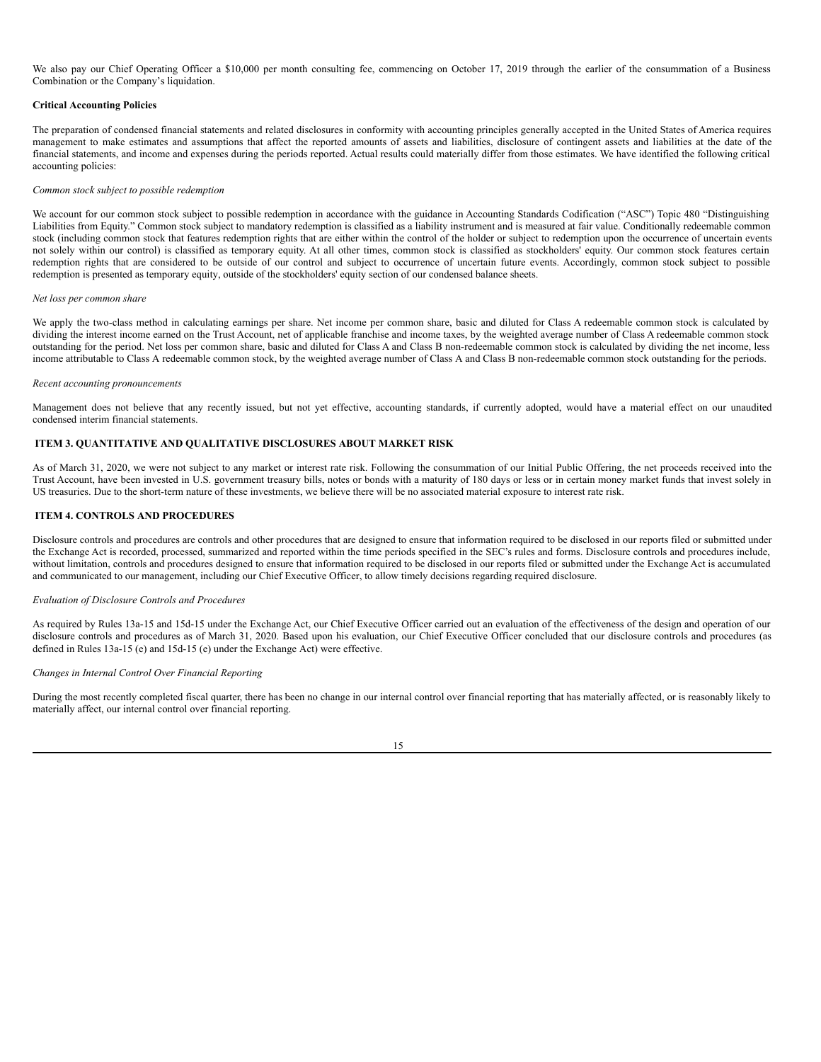We also pay our Chief Operating Officer a \$10,000 per month consulting fee, commencing on October 17, 2019 through the earlier of the consummation of a Business Combination or the Company's liquidation.

### **Critical Accounting Policies**

The preparation of condensed financial statements and related disclosures in conformity with accounting principles generally accepted in the United States of America requires management to make estimates and assumptions that affect the reported amounts of assets and liabilities, disclosure of contingent assets and liabilities at the date of the financial statements, and income and expenses during the periods reported. Actual results could materially differ from those estimates. We have identified the following critical accounting policies:

### *Common stock subject to possible redemption*

We account for our common stock subject to possible redemption in accordance with the guidance in Accounting Standards Codification ("ASC") Topic 480 "Distinguishing Liabilities from Equity." Common stock subject to mandatory redemption is classified as a liability instrument and is measured at fair value. Conditionally redeemable common stock (including common stock that features redemption rights that are either within the control of the holder or subject to redemption upon the occurrence of uncertain events not solely within our control) is classified as temporary equity. At all other times, common stock is classified as stockholders' equity. Our common stock features certain redemption rights that are considered to be outside of our control and subject to occurrence of uncertain future events. Accordingly, common stock subject to possible redemption is presented as temporary equity, outside of the stockholders' equity section of our condensed balance sheets.

#### *Net loss per common share*

We apply the two-class method in calculating earnings per share. Net income per common share, basic and diluted for Class A redeemable common stock is calculated by dividing the interest income earned on the Trust Account, net of applicable franchise and income taxes, by the weighted average number of Class A redeemable common stock outstanding for the period. Net loss per common share, basic and diluted for Class A and Class B non-redeemable common stock is calculated by dividing the net income, less income attributable to Class A redeemable common stock, by the weighted average number of Class A and Class B non-redeemable common stock outstanding for the periods.

#### *Recent accounting pronouncements*

Management does not believe that any recently issued, but not yet effective, accounting standards, if currently adopted, would have a material effect on our unaudited condensed interim financial statements.

# <span id="page-16-0"></span>**ITEM 3. QUANTITATIVE AND QUALITATIVE DISCLOSURES ABOUT MARKET RISK**

As of March 31, 2020, we were not subject to any market or interest rate risk. Following the consummation of our Initial Public Offering, the net proceeds received into the Trust Account, have been invested in U.S. government treasury bills, notes or bonds with a maturity of 180 days or less or in certain money market funds that invest solely in US treasuries. Due to the short-term nature of these investments, we believe there will be no associated material exposure to interest rate risk.

### <span id="page-16-1"></span>**ITEM 4. CONTROLS AND PROCEDURES**

Disclosure controls and procedures are controls and other procedures that are designed to ensure that information required to be disclosed in our reports filed or submitted under the Exchange Act is recorded, processed, summarized and reported within the time periods specified in the SEC's rules and forms. Disclosure controls and procedures include, without limitation, controls and procedures designed to ensure that information required to be disclosed in our reports filed or submitted under the Exchange Act is accumulated and communicated to our management, including our Chief Executive Officer, to allow timely decisions regarding required disclosure.

#### *Evaluation of Disclosure Controls and Procedures*

As required by Rules 13a-15 and 15d-15 under the Exchange Act, our Chief Executive Officer carried out an evaluation of the effectiveness of the design and operation of our disclosure controls and procedures as of March 31, 2020. Based upon his evaluation, our Chief Executive Officer concluded that our disclosure controls and procedures (as defined in Rules  $13a-15(e)$  and  $15d-15(e)$  under the Exchange Act) were effective.

# *Changes in Internal Control Over Financial Reporting*

During the most recently completed fiscal quarter, there has been no change in our internal control over financial reporting that has materially affected, or is reasonably likely to materially affect, our internal control over financial reporting.

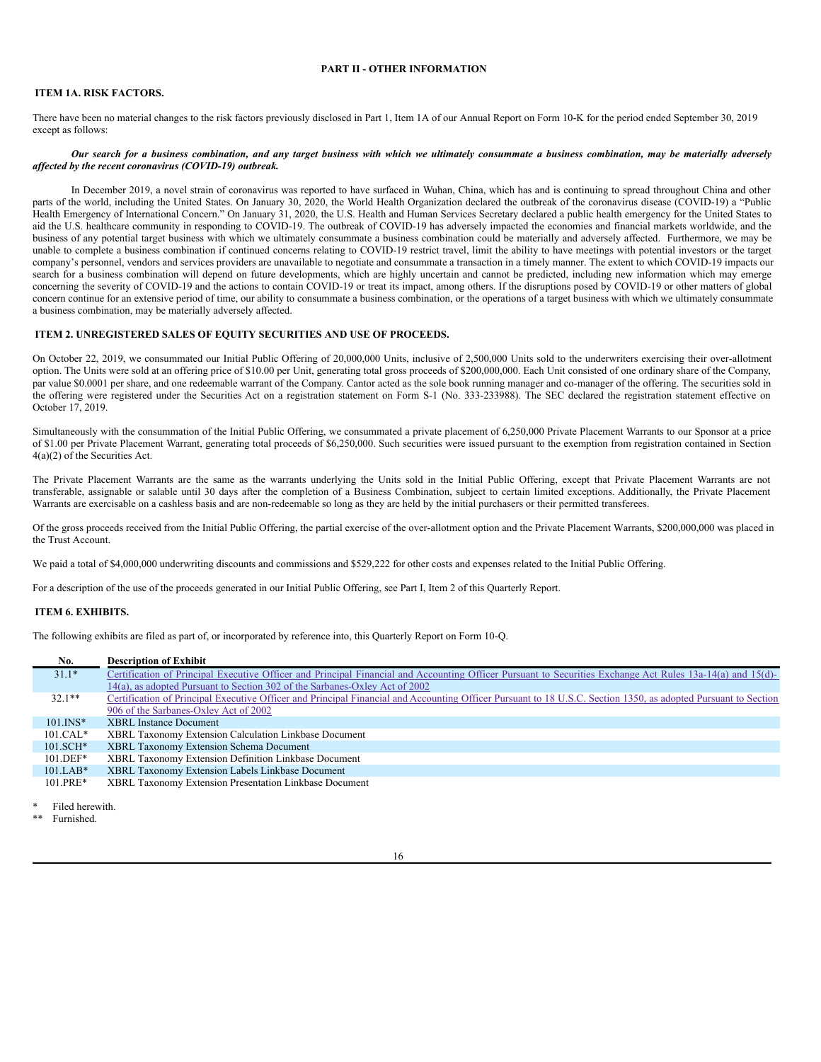# <span id="page-17-0"></span>**PART II - OTHER INFORMATION**

## <span id="page-17-1"></span>**ITEM 1A. RISK FACTORS.**

There have been no material changes to the risk factors previously disclosed in Part 1, Item 1A of our Annual Report on Form 10-K for the period ended September 30, 2019 except as follows:

### Our search for a business combination, and any target business with which we ultimately consummate a business combination, may be materially adversely *af ected by the recent coronavirus (COVID-19) outbreak.*

In December 2019, a novel strain of coronavirus was reported to have surfaced in Wuhan, China, which has and is continuing to spread throughout China and other parts of the world, including the United States. On January 30, 2020, the World Health Organization declared the outbreak of the coronavirus disease (COVID-19) a "Public Health Emergency of International Concern." On January 31, 2020, the U.S. Health and Human Services Secretary declared a public health emergency for the United States to aid the U.S. healthcare community in responding to COVID-19. The outbreak of COVID-19 has adversely impacted the economies and financial markets worldwide, and the business of any potential target business with which we ultimately consummate a business combination could be materially and adversely affected. Furthermore, we may be unable to complete a business combination if continued concerns relating to COVID-19 restrict travel, limit the ability to have meetings with potential investors or the target company's personnel, vendors and services providers are unavailable to negotiate and consummate a transaction in a timely manner. The extent to which COVID-19 impacts our search for a business combination will depend on future developments, which are highly uncertain and cannot be predicted, including new information which may emerge concerning the severity of COVID-19 and the actions to contain COVID-19 or treat its impact, among others. If the disruptions posed by COVID-19 or other matters of global concern continue for an extensive period of time, our ability to consummate a business combination, or the operations of a target business with which we ultimately consummate a business combination, may be materially adversely affected.

### <span id="page-17-2"></span>**ITEM 2. UNREGISTERED SALES OF EQUITY SECURITIES AND USE OF PROCEEDS.**

On October 22, 2019, we consummated our Initial Public Offering of 20,000,000 Units, inclusive of 2,500,000 Units sold to the underwriters exercising their over-allotment option. The Units were sold at an offering price of \$10.00 per Unit, generating total gross proceeds of \$200,000,000. Each Unit consisted of one ordinary share of the Company, par value \$0.0001 per share, and one redeemable warrant of the Company. Cantor acted as the sole book running manager and co-manager of the offering. The securities sold in the offering were registered under the Securities Act on a registration statement on Form S-1 (No. 333-233988). The SEC declared the registration statement effective on October 17, 2019.

Simultaneously with the consummation of the Initial Public Offering, we consummated a private placement of 6,250,000 Private Placement Warrants to our Sponsor at a price of \$1.00 per Private Placement Warrant, generating total proceeds of \$6,250,000. Such securities were issued pursuant to the exemption from registration contained in Section 4(a)(2) of the Securities Act.

The Private Placement Warrants are the same as the warrants underlying the Units sold in the Initial Public Offering, except that Private Placement Warrants are not transferable, assignable or salable until 30 days after the completion of a Business Combination, subject to certain limited exceptions. Additionally, the Private Placement Warrants are exercisable on a cashless basis and are non-redeemable so long as they are held by the initial purchasers or their permitted transferees.

Of the gross proceeds received from the Initial Public Offering, the partial exercise of the over-allotment option and the Private Placement Warrants, \$200,000,000 was placed in the Trust Account.

We paid a total of \$4,000,000 underwriting discounts and commissions and \$529,222 for other costs and expenses related to the Initial Public Offering.

For a description of the use of the proceeds generated in our Initial Public Offering, see Part I, Item 2 of this Quarterly Report.

### <span id="page-17-3"></span>**ITEM 6. EXHIBITS.**

The following exhibits are filed as part of, or incorporated by reference into, this Quarterly Report on Form 10-Q.

| No.          | <b>Description of Exhibit</b>                                                                                                                                  |
|--------------|----------------------------------------------------------------------------------------------------------------------------------------------------------------|
| $31.1*$      | Certification of Principal Executive Officer and Principal Financial and Accounting Officer Pursuant to Securities Exchange Act Rules 13a-14(a) and 15(d)-     |
|              | 14(a), as adopted Pursuant to Section 302 of the Sarbanes-Oxley Act of 2002                                                                                    |
| $32.1**$     | Certification of Principal Executive Officer and Principal Financial and Accounting Officer Pursuant to 18 U.S.C. Section 1350, as adopted Pursuant to Section |
|              | 906 of the Sarbanes-Oxley Act of 2002                                                                                                                          |
| $101$ . INS* | <b>XBRL</b> Instance Document                                                                                                                                  |
| $101.CAL*$   | XBRL Taxonomy Extension Calculation Linkbase Document                                                                                                          |
| $101.SCH*$   | XBRL Taxonomy Extension Schema Document                                                                                                                        |
| $101.DEF*$   | XBRL Taxonomy Extension Definition Linkbase Document                                                                                                           |
| $101.LAB*$   | XBRL Taxonomy Extension Labels Linkbase Document                                                                                                               |
| $101.PRE*$   | XBRL Taxonomy Extension Presentation Linkbase Document                                                                                                         |

Filed herewith.

Furnished.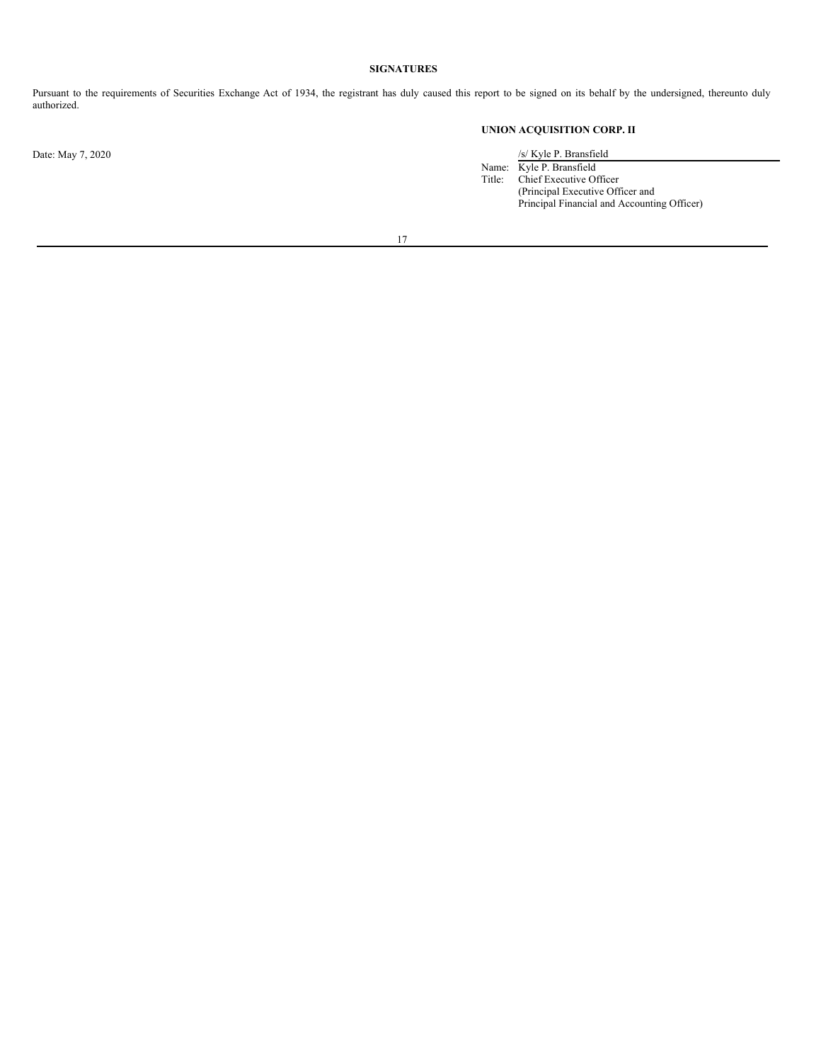# <span id="page-18-0"></span>**SIGNATURES**

Pursuant to the requirements of Securities Exchange Act of 1934, the registrant has duly caused this report to be signed on its behalf by the undersigned, thereunto duly authorized.

# **UNION ACQUISITION CORP. II**

Date: May 7, 2020 /s/ Kyle P. Bransfield

Name: Kyle P. Bransfield Title: Chief Executive Officer (Principal Executive Officer and Principal Financial and Accounting Officer)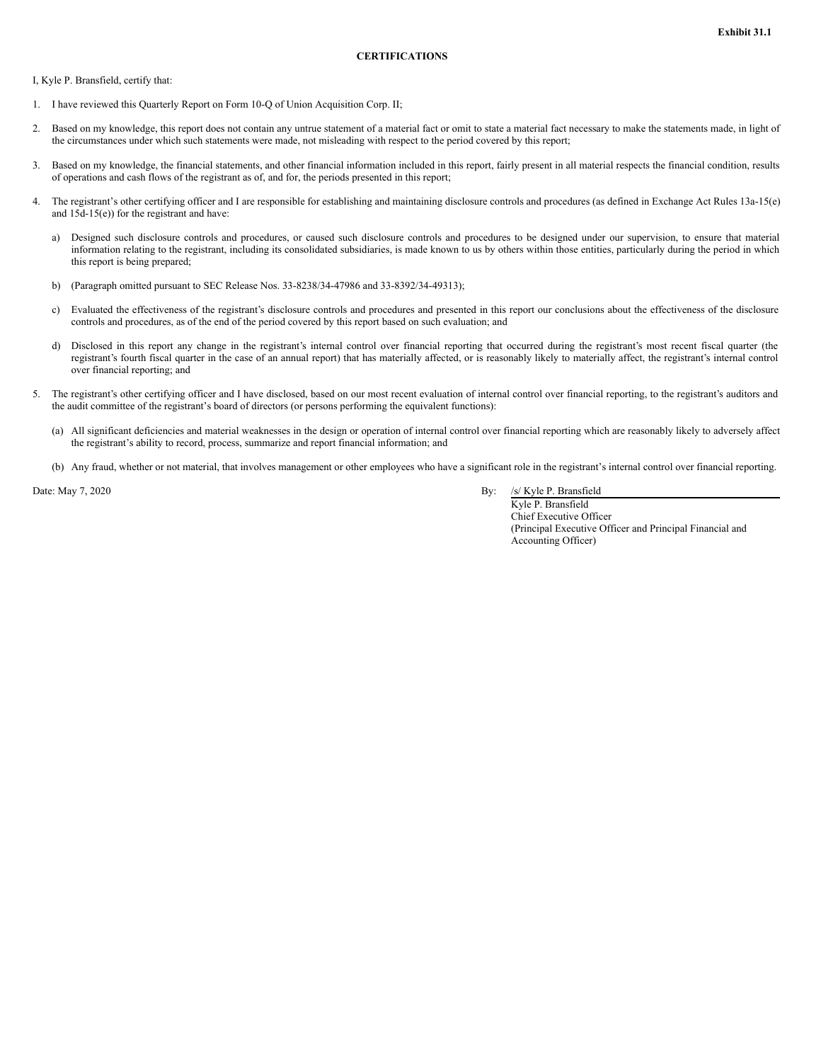<span id="page-19-0"></span>I, Kyle P. Bransfield, certify that:

- 1. I have reviewed this Quarterly Report on Form 10-Q of Union Acquisition Corp. II;
- 2. Based on my knowledge, this report does not contain any untrue statement of a material fact or omit to state a material fact necessary to make the statements made, in light of the circumstances under which such statements were made, not misleading with respect to the period covered by this report;
- 3. Based on my knowledge, the financial statements, and other financial information included in this report, fairly present in all material respects the financial condition, results of operations and cash flows of the registrant as of, and for, the periods presented in this report;
- 4. The registrant's other certifying officer and I are responsible for establishing and maintaining disclosure controls and procedures (as defined in Exchange Act Rules 13a-15(e) and  $15d-15(e)$ ) for the registrant and have:
	- a) Designed such disclosure controls and procedures, or caused such disclosure controls and procedures to be designed under our supervision, to ensure that material information relating to the registrant, including its consolidated subsidiaries, is made known to us by others within those entities, particularly during the period in which this report is being prepared;
	- b) (Paragraph omitted pursuant to SEC Release Nos. 33-8238/34-47986 and 33-8392/34-49313);
	- c) Evaluated the effectiveness of the registrant's disclosure controls and procedures and presented in this report our conclusions about the effectiveness of the disclosure controls and procedures, as of the end of the period covered by this report based on such evaluation; and
	- d) Disclosed in this report any change in the registrant's internal control over financial reporting that occurred during the registrant's most recent fiscal quarter (the registrant's fourth fiscal quarter in the case of an annual report) that has materially affected, or is reasonably likely to materially affect, the registrant's internal control over financial reporting; and
- 5. The registrant's other certifying officer and I have disclosed, based on our most recent evaluation of internal control over financial reporting, to the registrant's auditors and the audit committee of the registrant's board of directors (or persons performing the equivalent functions):
	- (a) All significant deficiencies and material weaknesses in the design or operation of internal control over financial reporting which are reasonably likely to adversely affect the registrant's ability to record, process, summarize and report financial information; and
	- (b) Any fraud, whether or not material, that involves management or other employees who have a significant role in the registrant's internal control over financial reporting.

Date: May 7, 2020 By: /s/ Kyle P. Bransfield

Kyle P. Bransfield Chief Executive Officer (Principal Executive Officer and Principal Financial and Accounting Officer)